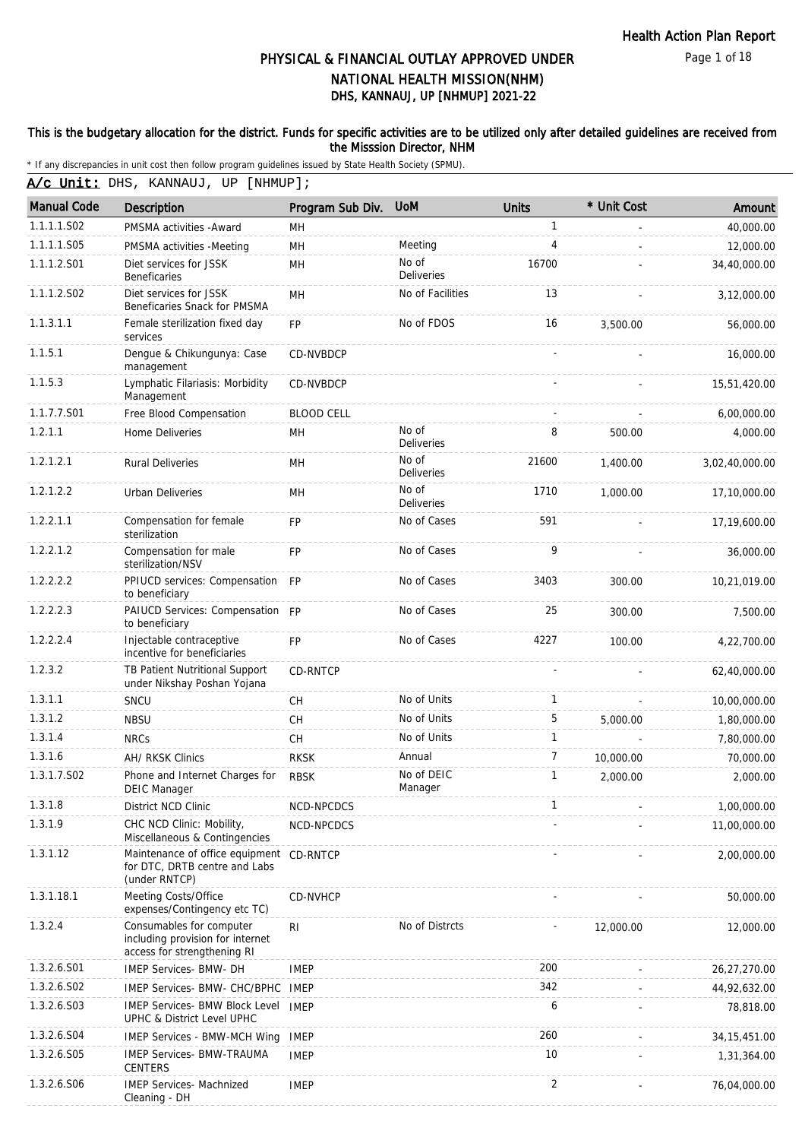Page 1 of 18

# DHS, KANNAUJ, UP [NHMUP] 2021-22 PHYSICAL & FINANCIAL OUTLAY APPROVED UNDER NATIONAL HEALTH MISSION(NHM)

#### This is the budgetary allocation for the district. Funds for specific activities are to be utilized only after detailed guidelines are received from the Misssion Director, NHM

\* If any discrepancies in unit cost then follow program guidelines issued by State Health Society (SPMU).

A/c Unit: DHS, KANNAUJ, UP [NHMUP];

| <b>Manual Code</b> | <b>Description</b>                                                                          | Program Sub Div.  | <b>UoM</b>                 | <b>Units</b>   | * Unit Cost | Amount         |
|--------------------|---------------------------------------------------------------------------------------------|-------------------|----------------------------|----------------|-------------|----------------|
| 1.1.1.1.S02        | PMSMA activities - Award                                                                    | MН                |                            | $\mathbf{1}$   |             | 40,000.00      |
| 1.1.1.1.S05        | PMSMA activities -Meeting                                                                   | <b>MH</b>         | Meeting                    | 4              |             | 12,000.00      |
| 1.1.1.2.S01        | Diet services for JSSK<br><b>Beneficaries</b>                                               | MH                | No of<br><b>Deliveries</b> | 16700          |             | 34,40,000.00   |
| 1.1.1.2.S02        | Diet services for JSSK<br>Beneficaries Snack for PMSMA                                      | MH                | No of Facilities           | 13             |             | 3,12,000.00    |
| 1.1.3.1.1          | Female sterilization fixed day<br>services                                                  | FP                | No of FDOS                 | 16             | 3,500.00    | 56,000.00      |
| 1.1.5.1            | Dengue & Chikungunya: Case<br>management                                                    | CD-NVBDCP         |                            |                |             | 16,000.00      |
| 1.1.5.3            | Lymphatic Filariasis: Morbidity<br>Management                                               | <b>CD-NVBDCP</b>  |                            |                |             | 15,51,420.00   |
| 1.1.7.7.S01        | Free Blood Compensation                                                                     | <b>BLOOD CELL</b> |                            |                |             | 6,00,000.00    |
| 1.2.1.1            | Home Deliveries                                                                             | MH                | No of<br>Deliveries        | 8              | 500.00      | 4,000.00       |
| 1.2.1.2.1          | <b>Rural Deliveries</b>                                                                     | MН                | No of<br><b>Deliveries</b> | 21600          | 1,400.00    | 3,02,40,000.00 |
| 1.2.1.2.2          | <b>Urban Deliveries</b>                                                                     | MH                | No of<br><b>Deliveries</b> | 1710           | 1.000.00    | 17,10,000.00   |
| 1.2.2.1.1          | Compensation for female<br>sterilization                                                    | <b>FP</b>         | No of Cases                | 591            |             | 17,19,600.00   |
| 1.2.2.1.2          | Compensation for male<br>sterilization/NSV                                                  | FP                | No of Cases                | 9              |             | 36,000.00      |
| 1.2.2.2.2          | PPIUCD services: Compensation<br>to beneficiary                                             | <b>FP</b>         | No of Cases                | 3403           | 300.00      | 10,21,019.00   |
| 1.2.2.2.3          | PAIUCD Services: Compensation FP<br>to beneficiary                                          |                   | No of Cases                | 25             | 300.00      | 7,500.00       |
| 1.2.2.2.4          | Injectable contraceptive<br>incentive for beneficiaries                                     | <b>FP</b>         | No of Cases                | 4227           | 100.00      | 4,22,700.00    |
| 1.2.3.2            | TB Patient Nutritional Support<br>under Nikshay Poshan Yojana                               | CD-RNTCP          |                            |                |             | 62,40,000.00   |
| 1.3.1.1            | SNCU                                                                                        | <b>CH</b>         | No of Units                | $\mathbf{1}$   |             | 10,00,000.00   |
| 1.3.1.2            | <b>NBSU</b>                                                                                 | CH                | No of Units                | 5              | 5,000.00    | 1,80,000.00    |
| 1.3.1.4            | <b>NRCs</b>                                                                                 | <b>CH</b>         | No of Units                | 1              |             | 7,80,000.00    |
| 1.3.1.6            | AH/ RKSK Clinics                                                                            | <b>RKSK</b>       | Annual                     | $\overline{7}$ | 10,000.00   | 70,000.00      |
| 1.3.1.7.S02        | Phone and Internet Charges for<br><b>DEIC Manager</b>                                       | <b>RBSK</b>       | No of DEIC<br>Manager      | $\mathbf{1}$   | 2,000.00    | 2,000.00       |
| 1.3.1.8            | District NCD Clinic                                                                         | NCD-NPCDCS        |                            | 1              |             | 1,00,000.00    |
| 1.3.1.9            | CHC NCD Clinic: Mobility,<br>Miscellaneous & Contingencies                                  | NCD-NPCDCS        |                            |                |             | 11,00,000.00   |
| 1.3.1.12           | Maintenance of office equipment CD-RNTCP<br>for DTC, DRTB centre and Labs<br>(under RNTCP)  |                   |                            |                |             | 2,00,000.00    |
| 1.3.1.18.1         | Meeting Costs/Office<br>expenses/Contingency etc TC)                                        | CD-NVHCP          |                            |                |             | 50,000.00      |
| 1.3.2.4            | Consumables for computer<br>including provision for internet<br>access for strengthening RI | R <sub>l</sub>    | No of Distrcts             |                | 12,000.00   | 12,000.00      |
| 1.3.2.6.S01        | IMEP Services- BMW- DH                                                                      | <b>IMEP</b>       |                            | 200            |             | 26,27,270.00   |
| 1.3.2.6.S02        | IMEP Services- BMW- CHC/BPHC                                                                | IMEP              |                            | 342            |             | 44,92,632.00   |
| 1.3.2.6.S03        | IMEP Services- BMW Block Level IMEP<br>UPHC & District Level UPHC                           |                   |                            | 6              |             | 78,818.00      |
| 1.3.2.6.504        | <b>IMEP Services - BMW-MCH Wing</b>                                                         | <b>IMEP</b>       |                            | 260            |             | 34, 15, 451.00 |
| 1.3.2.6.S05        | <b>IMEP Services- BMW-TRAUMA</b><br><b>CENTERS</b>                                          | <b>IMEP</b>       |                            | 10             |             | 1,31,364.00    |
| 1.3.2.6.S06        | <b>IMEP Services- Machnized</b><br>Cleaning - DH                                            | <b>IMEP</b>       |                            | $\overline{2}$ |             | 76,04,000.00   |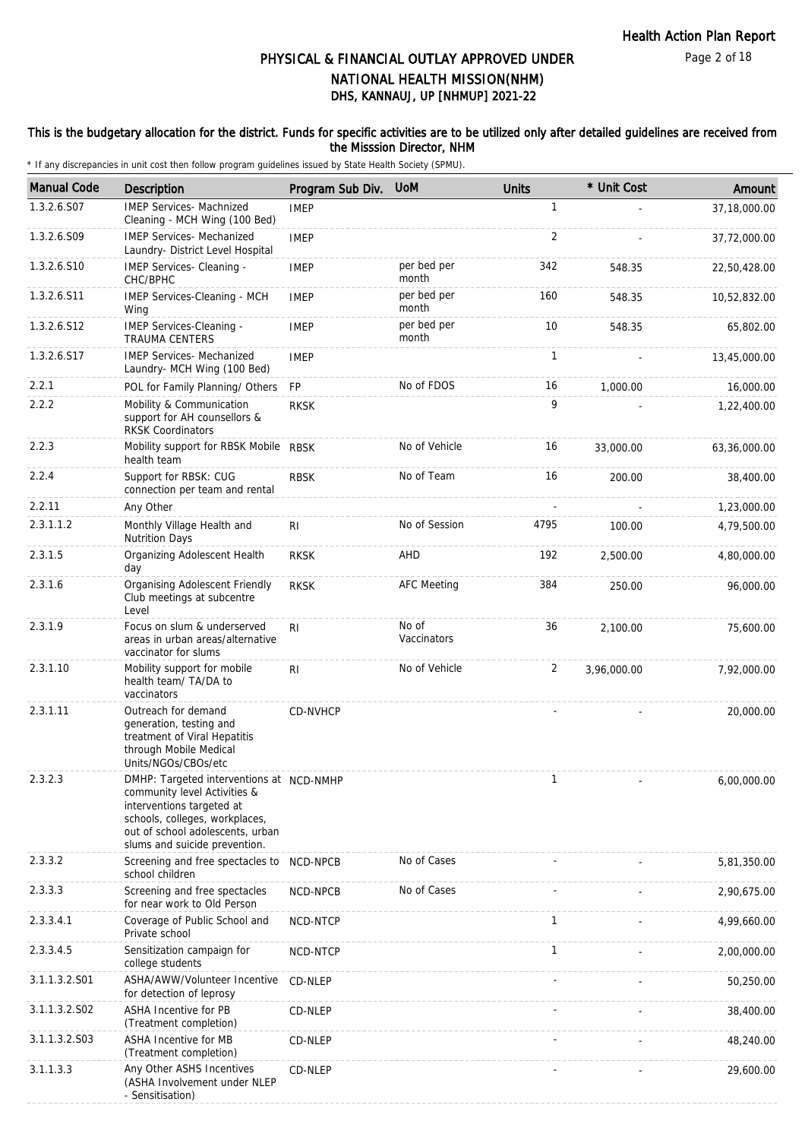### This is the budgetary allocation for the district. Funds for specific activities are to be utilized only after detailed guidelines are received from the Misssion Director, NHM

| <b>Manual Code</b> | <b>Description</b>                                                                                                                                                                                           | Program Sub Div. | <b>UoM</b>           | <b>Units</b> | * Unit Cost | Amount       |
|--------------------|--------------------------------------------------------------------------------------------------------------------------------------------------------------------------------------------------------------|------------------|----------------------|--------------|-------------|--------------|
| 1.3.2.6.S07        | <b>IMEP Services- Machnized</b><br>Cleaning - MCH Wing (100 Bed)                                                                                                                                             | <b>IMEP</b>      |                      | $\mathbf{1}$ |             | 37,18,000.00 |
| 1.3.2.6.S09        | <b>IMEP Services- Mechanized</b><br>Laundry- District Level Hospital                                                                                                                                         | <b>IMEP</b>      |                      | 2            |             | 37,72,000.00 |
| 1.3.2.6.S10        | IMEP Services- Cleaning -<br>CHC/BPHC                                                                                                                                                                        | <b>IMEP</b>      | per bed per<br>month | 342          | 548.35      | 22,50,428.00 |
| 1.3.2.6.S11        | IMEP Services-Cleaning - MCH<br>Wing                                                                                                                                                                         | <b>IMEP</b>      | per bed per<br>month | 160          | 548.35      | 10,52,832.00 |
| 1.3.2.6.S12        | IMEP Services-Cleaning -<br><b>TRAUMA CENTERS</b>                                                                                                                                                            | <b>IMEP</b>      | per bed per<br>month | 10           | 548.35      | 65,802.00    |
| 1.3.2.6.S17        | <b>IMEP Services- Mechanized</b><br>Laundry- MCH Wing (100 Bed)                                                                                                                                              | <b>IMEP</b>      |                      | 1            |             | 13,45,000.00 |
| 2.2.1              | POL for Family Planning/ Others                                                                                                                                                                              | FP               | No of FDOS           | 16           | 1,000.00    | 16,000.00    |
| 2.2.2              | Mobility & Communication<br>support for AH counsellors &<br><b>RKSK Coordinators</b>                                                                                                                         | <b>RKSK</b>      |                      | 9            |             | 1,22,400.00  |
| 2.2.3              | Mobility support for RBSK Mobile RBSK<br>health team                                                                                                                                                         |                  | No of Vehicle        | 16           | 33,000.00   | 63,36,000.00 |
| 2.2.4              | Support for RBSK: CUG<br>connection per team and rental                                                                                                                                                      | <b>RBSK</b>      | No of Team           | 16           | 200.00      | 38,400.00    |
| 2.2.11             | Any Other                                                                                                                                                                                                    |                  |                      |              |             | 1,23,000.00  |
| 2.3.1.1.2          | Monthly Village Health and<br><b>Nutrition Days</b>                                                                                                                                                          | R <sub>l</sub>   | No of Session        | 4795         | 100.00      | 4,79,500.00  |
| 2.3.1.5            | Organizing Adolescent Health<br>day                                                                                                                                                                          | <b>RKSK</b>      | AHD                  | 192          | 2,500.00    | 4,80,000.00  |
| 2.3.1.6            | Organising Adolescent Friendly<br>Club meetings at subcentre<br>Level                                                                                                                                        | <b>RKSK</b>      | <b>AFC Meeting</b>   | 384          | 250.00      | 96,000.00    |
| 2.3.1.9            | Focus on slum & underserved<br>areas in urban areas/alternative<br>vaccinator for slums                                                                                                                      | RI               | No of<br>Vaccinators | 36           | 2,100.00    | 75,600.00    |
| 2.3.1.10           | Mobility support for mobile<br>health team/ TA/DA to<br>vaccinators                                                                                                                                          | R <sub>1</sub>   | No of Vehicle        | 2            | 3,96,000.00 | 7,92,000.00  |
| 2.3.1.11           | Outreach for demand<br>generation, testing and<br>treatment of Viral Hepatitis<br>through Mobile Medical<br>Units/NGOs/CBOs/etc                                                                              | CD-NVHCP         |                      |              |             | 20,000.00    |
| 2.3.2.3            | DMHP: Targeted interventions at NCD-NMHP<br>community level Activities &<br>interventions targeted at<br>schools, colleges, workplaces,<br>out of school adolescents, urban<br>slums and suicide prevention. |                  |                      |              |             | 6,00,000.00  |
| 2.3.3.2            | Screening and free spectacles to<br>school children                                                                                                                                                          | NCD-NPCB         | No of Cases          |              |             | 5,81,350.00  |
| 2.3.3.3            | Screening and free spectacles<br>for near work to Old Person                                                                                                                                                 | NCD-NPCB         | No of Cases          |              |             | 2,90,675.00  |
| 2.3.3.4.1          | Coverage of Public School and<br>Private school                                                                                                                                                              | NCD-NTCP         |                      | 1            |             | 4,99,660.00  |
| 2.3.3.4.5          | Sensitization campaign for<br>college students                                                                                                                                                               | NCD-NTCP         |                      | $\mathbf{1}$ |             | 2,00,000.00  |
| 3.1.1.3.2.S01      | ASHA/AWW/Volunteer Incentive<br>for detection of leprosy                                                                                                                                                     | CD-NLEP          |                      |              |             | 50,250.00    |
| 3.1.1.3.2.S02      | ASHA Incentive for PB<br>(Treatment completion)                                                                                                                                                              | CD-NLEP          |                      |              |             | 38,400.00    |
| 3.1.1.3.2.S03      | ASHA Incentive for MB<br>(Treatment completion)                                                                                                                                                              | CD-NLEP          |                      |              |             | 48,240.00    |
| 3.1.1.3.3          | Any Other ASHS Incentives<br>(ASHA Involvement under NLEP<br>- Sensitisation)                                                                                                                                | CD-NLEP          |                      |              |             | 29,600.00    |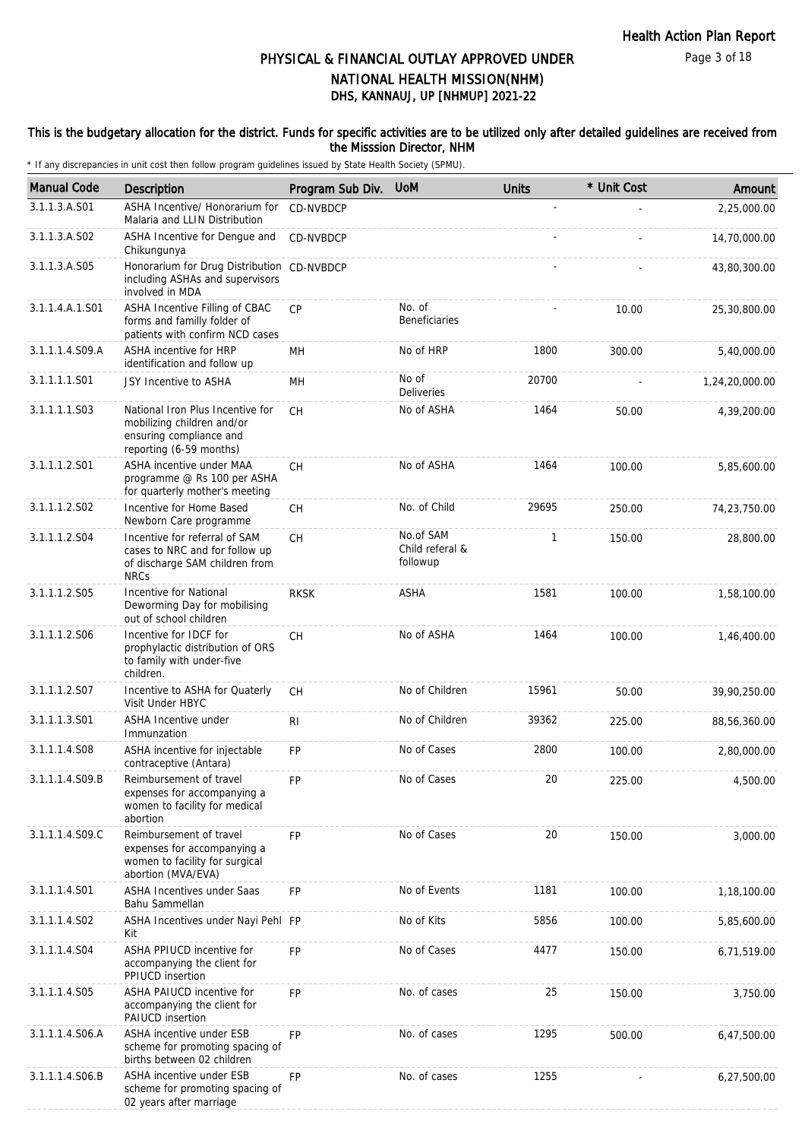### This is the budgetary allocation for the district. Funds for specific activities are to be utilized only after detailed guidelines are received from the Misssion Director, NHM

| <b>Manual Code</b> | <b>Description</b>                                                                                                   | Program Sub Div. | <b>UoM</b>                               | <b>Units</b> | * Unit Cost | Amount         |
|--------------------|----------------------------------------------------------------------------------------------------------------------|------------------|------------------------------------------|--------------|-------------|----------------|
| 3.1.1.3.A.S01      | ASHA Incentive/ Honorarium for<br>Malaria and LLIN Distribution                                                      | <b>CD-NVBDCP</b> |                                          |              |             | 2,25,000.00    |
| 3.1.1.3.A.S02      | ASHA Incentive for Dengue and<br>Chikungunya                                                                         | CD-NVBDCP        |                                          |              |             | 14,70,000.00   |
| 3.1.1.3.A.S05      | Honorarium for Drug Distribution<br>including ASHAs and supervisors<br>involved in MDA                               | CD-NVBDCP        |                                          |              |             | 43,80,300.00   |
| 3.1.1.4.A.1.S01    | ASHA Incentive Filling of CBAC<br>forms and familly folder of<br>patients with confirm NCD cases                     | <b>CP</b>        | No. of<br><b>Beneficiaries</b>           |              | 10.00       | 25,30,800.00   |
| 3.1.1.1.4.S09.A    | ASHA incentive for HRP<br>identification and follow up                                                               | MН               | No of HRP                                | 1800         | 300.00      | 5,40,000.00    |
| 3.1.1.1.1.S01      | JSY Incentive to ASHA                                                                                                | MH               | No of<br><b>Deliveries</b>               | 20700        |             | 1,24,20,000.00 |
| 3.1.1.1.1.S03      | National Iron Plus Incentive for<br>mobilizing children and/or<br>ensuring compliance and<br>reporting (6-59 months) | <b>CH</b>        | No of ASHA                               | 1464         | 50.00       | 4,39,200.00    |
| 3.1.1.1.2.S01      | ASHA incentive under MAA<br>programme @ Rs 100 per ASHA<br>for quarterly mother's meeting                            | <b>CH</b>        | No of ASHA                               | 1464         | 100.00      | 5,85,600.00    |
| 3.1.1.1.2.S02      | Incentive for Home Based<br>Newborn Care programme                                                                   | <b>CH</b>        | No. of Child                             | 29695        | 250.00      | 74,23,750.00   |
| 3.1.1.1.2.S04      | Incentive for referral of SAM<br>cases to NRC and for follow up<br>of discharge SAM children from<br><b>NRCs</b>     | <b>CH</b>        | No.of SAM<br>Child referal &<br>followup | 1            | 150.00      | 28,800.00      |
| 3.1.1.1.2.S05      | Incentive for National<br>Deworming Day for mobilising<br>out of school children                                     | <b>RKSK</b>      | ASHA                                     | 1581         | 100.00      | 1,58,100.00    |
| 3.1.1.1.2.S06      | Incentive for IDCF for<br>prophylactic distribution of ORS<br>to family with under-five<br>children.                 | <b>CH</b>        | No of ASHA                               | 1464         | 100.00      | 1,46,400.00    |
| 3.1.1.1.2.S07      | Incentive to ASHA for Quaterly<br>Visit Under HBYC                                                                   | СH               | No of Children                           | 15961        | 50.00       | 39,90,250.00   |
| 3.1.1.1.3.S01      | ASHA Incentive under<br>Immunzation                                                                                  | R <sub>l</sub>   | No of Children                           | 39362        | 225.00      | 88,56,360.00   |
| 3.1.1.1.4.S08      | ASHA incentive for injectable<br>contraceptive (Antara)                                                              | <b>FP</b>        | No of Cases                              | 2800         | 100.00      | 2,80,000.00    |
| 3.1.1.1.4.S09.B    | Reimbursement of travel<br>expenses for accompanying a<br>women to facility for medical<br>abortion                  | FP               | No of Cases                              | 20           | 225.00      | 4,500.00       |
| 3.1.1.1.4.S09.C    | Reimbursement of travel<br>expenses for accompanying a<br>women to facility for surgical<br>abortion (MVA/EVA)       | <b>FP</b>        | No of Cases                              | 20           | 150.00      | 3,000.00       |
| 3.1.1.1.4.S01      | ASHA Incentives under Saas<br>Bahu Sammellan                                                                         | FP               | No of Events                             | 1181         | 100.00      | 1,18,100.00    |
| 3.1.1.1.4.S02      | ASHA Incentives under Nayi Pehl FP<br>Kit                                                                            |                  | No of Kits                               | 5856         | 100.00      | 5,85,600.00    |
| 3.1.1.1.4.S04      | ASHA PPIUCD incentive for<br>accompanying the client for<br>PPIUCD insertion                                         | <b>FP</b>        | No of Cases                              | 4477         | 150.00      | 6,71,519.00    |
| 3.1.1.1.4.S05      | ASHA PAIUCD incentive for<br>accompanying the client for<br>PAIUCD insertion                                         | FP               | No. of cases                             | 25           | 150.00      | 3,750.00       |
| 3.1.1.1.4.S06.A    | ASHA incentive under ESB<br>scheme for promoting spacing of<br>births between 02 children                            | <b>FP</b>        | No. of cases                             | 1295         | 500.00      | 6,47,500.00    |
| 3.1.1.1.4.S06.B    | ASHA incentive under ESB<br>scheme for promoting spacing of<br>02 years after marriage                               | FP               | No. of cases                             | 1255         |             | 6,27,500.00    |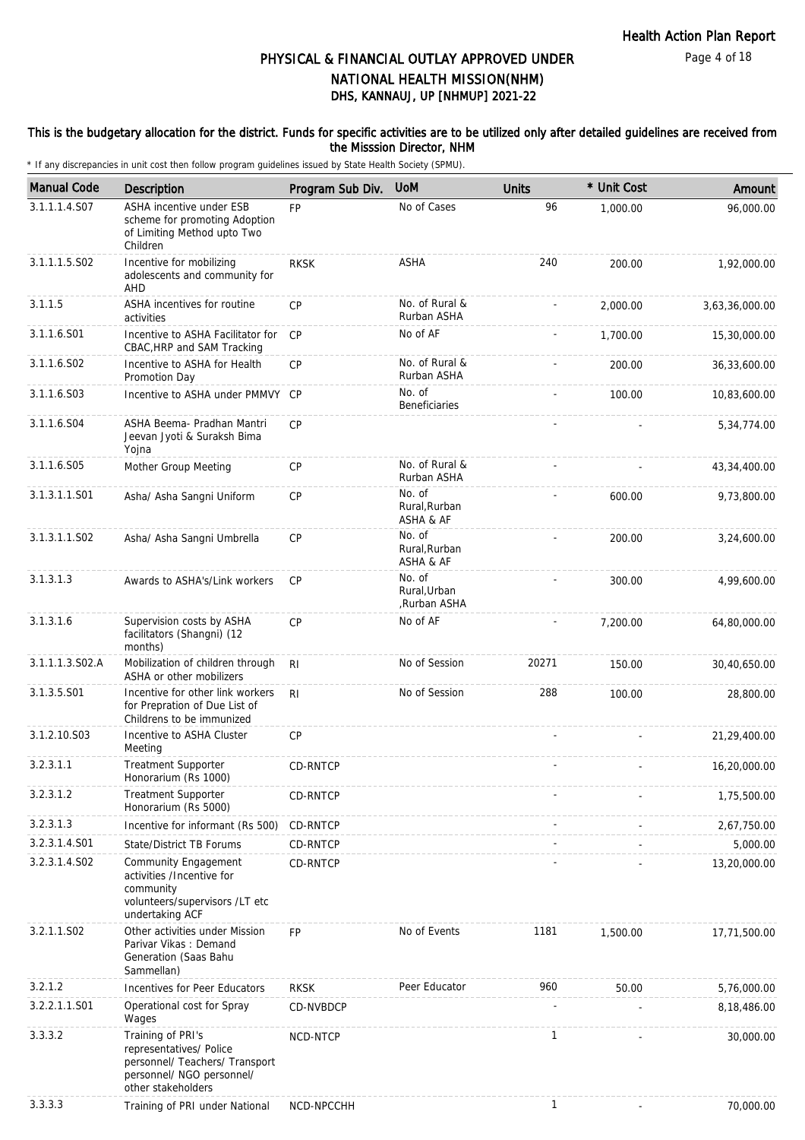### This is the budgetary allocation for the district. Funds for specific activities are to be utilized only after detailed guidelines are received from the Misssion Director, NHM

| <b>Manual Code</b> | Description                                                                                                                       | Program Sub Div. | <b>UoM</b>                            | <b>Units</b> | * Unit Cost | Amount         |
|--------------------|-----------------------------------------------------------------------------------------------------------------------------------|------------------|---------------------------------------|--------------|-------------|----------------|
| 3.1.1.1.4.S07      | ASHA incentive under ESB<br>scheme for promoting Adoption<br>of Limiting Method upto Two<br>Children                              | FP               | No of Cases                           | 96           | 1,000.00    | 96,000.00      |
| 3.1.1.1.5.S02      | Incentive for mobilizing<br>adolescents and community for<br>AHD                                                                  | <b>RKSK</b>      | <b>ASHA</b>                           | 240          | 200.00      | 1,92,000.00    |
| 3.1.1.5            | ASHA incentives for routine<br>activities                                                                                         | CP               | No. of Rural &<br>Rurban ASHA         |              | 2,000.00    | 3,63,36,000.00 |
| 3.1.1.6.S01        | Incentive to ASHA Facilitator for<br>CBAC, HRP and SAM Tracking                                                                   | CP               | No of AF                              |              | 1,700.00    | 15,30,000.00   |
| 3.1.1.6.S02        | Incentive to ASHA for Health<br>Promotion Day                                                                                     | <b>CP</b>        | No. of Rural &<br>Rurban ASHA         |              | 200.00      | 36,33,600.00   |
| 3.1.1.6.S03        | Incentive to ASHA under PMMVY CP                                                                                                  |                  | No. of<br><b>Beneficiaries</b>        |              | 100.00      | 10,83,600.00   |
| 3.1.1.6.S04        | ASHA Beema- Pradhan Mantri<br>Jeevan Jyoti & Suraksh Bima<br>Yojna                                                                | CP               |                                       |              |             | 5,34,774.00    |
| 3.1.1.6.S05        | Mother Group Meeting                                                                                                              | <b>CP</b>        | No. of Rural &<br>Rurban ASHA         |              |             | 43,34,400.00   |
| 3.1.3.1.1.S01      | Asha/ Asha Sangni Uniform                                                                                                         | <b>CP</b>        | No. of<br>Rural, Rurban<br>ASHA & AF  |              | 600.00      | 9,73,800.00    |
| 3.1.3.1.1.S02      | Asha/ Asha Sangni Umbrella                                                                                                        | CP               | No. of<br>Rural, Rurban<br>ASHA & AF  |              | 200.00      | 3,24,600.00    |
| 3.1.3.1.3          | Awards to ASHA's/Link workers                                                                                                     | <b>CP</b>        | No. of<br>Rural, Urban<br>Rurban ASHA |              | 300.00      | 4,99,600.00    |
| 3.1.3.1.6          | Supervision costs by ASHA<br>facilitators (Shangni) (12<br>months)                                                                | CP               | No of AF                              |              | 7,200.00    | 64,80,000.00   |
| 3.1.1.1.3.S02.A    | Mobilization of children through<br>ASHA or other mobilizers                                                                      | <b>RI</b>        | No of Session                         | 20271        | 150.00      | 30,40,650.00   |
| 3.1.3.5.S01        | Incentive for other link workers<br>for Prepration of Due List of<br>Childrens to be immunized                                    | R <sub>l</sub>   | No of Session                         | 288          | 100.00      | 28,800.00      |
| 3.1.2.10.S03       | Incentive to ASHA Cluster<br>Meeting                                                                                              | CP               |                                       |              |             | 21,29,400.00   |
| 3.2.3.1.1          | <b>Treatment Supporter</b><br>Honorarium (Rs 1000)                                                                                | CD-RNTCP         |                                       |              |             | 16,20,000.00   |
| 3.2.3.1.2          | <b>Treatment Supporter</b><br>Honorarium (Rs 5000)                                                                                | <b>CD-RNTCP</b>  |                                       |              |             | 1,75,500.00    |
| 3.2.3.1.3          | Incentive for informant (Rs 500)                                                                                                  | CD-RNTCP         |                                       |              |             | 2,67,750.00    |
| 3.2.3.1.4.S01      | State/District TB Forums                                                                                                          | CD-RNTCP         |                                       |              |             | 5,000.00       |
| 3.2.3.1.4.SO2      | Community Engagement<br>activities /Incentive for<br>community<br>volunteers/supervisors /LT etc<br>undertaking ACF               | CD-RNTCP         |                                       |              |             | 13,20,000.00   |
| 3.2.1.1.S02        | Other activities under Mission<br>Parivar Vikas: Demand<br>Generation (Saas Bahu<br>Sammellan)                                    | <b>FP</b>        | No of Events                          | 1181         | 1,500.00    | 17,71,500.00   |
| 3.2.1.2            | Incentives for Peer Educators                                                                                                     | <b>RKSK</b>      | Peer Educator                         | 960          | 50.00       | 5,76,000.00    |
| 3.2.2.1.1.S01      | Operational cost for Spray<br>Wages                                                                                               | CD-NVBDCP        |                                       |              |             | 8,18,486.00    |
| 3.3.3.2            | Training of PRI's<br>representatives/ Police<br>personnel/ Teachers/ Transport<br>personnel/ NGO personnel/<br>other stakeholders | NCD-NTCP         |                                       | $\mathbf{1}$ |             | 30,000.00      |
| 3.3.3.3            | Training of PRI under National                                                                                                    | NCD-NPCCHH       |                                       | 1            |             | 70,000.00      |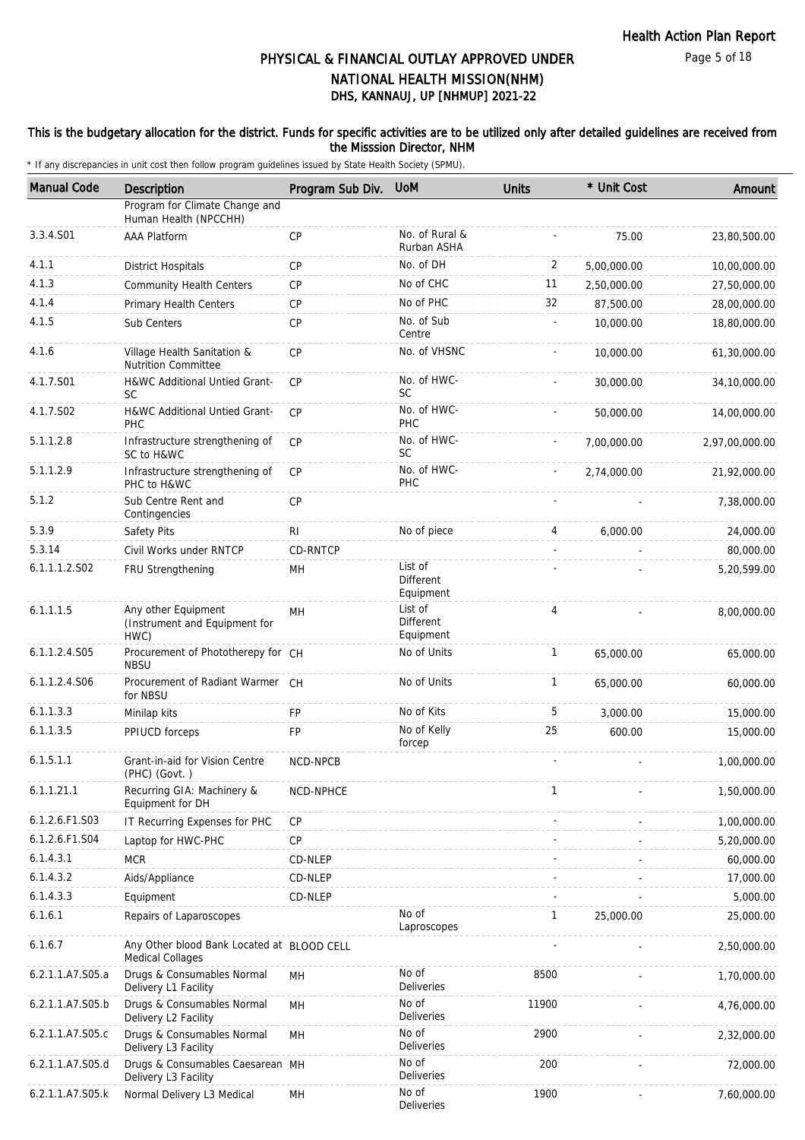### This is the budgetary allocation for the district. Funds for specific activities are to be utilized only after detailed guidelines are received from the Misssion Director, NHM

| <b>Manual Code</b> | Description                                                           | Program Sub Div. | <b>UoM</b>                        | <b>Units</b> | * Unit Cost | Amount         |
|--------------------|-----------------------------------------------------------------------|------------------|-----------------------------------|--------------|-------------|----------------|
|                    | Program for Climate Change and<br>Human Health (NPCCHH)               |                  |                                   |              |             |                |
| 3.3.4.S01          | <b>AAA Platform</b>                                                   | CP               | No. of Rural &<br>Rurban ASHA     |              | 75.00       | 23,80,500.00   |
| 4.1.1              | <b>District Hospitals</b>                                             | CP               | No. of DH                         | 2            | 5,00,000.00 | 10,00,000.00   |
| 4.1.3              | <b>Community Health Centers</b>                                       | CP               | No of CHC                         | 11           | 2,50,000.00 | 27,50,000.00   |
| 4.1.4              | <b>Primary Health Centers</b>                                         | <b>CP</b>        | No of PHC                         | 32           | 87,500.00   | 28,00,000.00   |
| 4.1.5              | Sub Centers                                                           | <b>CP</b>        | No. of Sub<br>Centre              |              | 10,000.00   | 18,80,000.00   |
| 4.1.6              | Village Health Sanitation &<br><b>Nutrition Committee</b>             | <b>CP</b>        | No. of VHSNC                      |              | 10,000.00   | 61,30,000.00   |
| 4.1.7.S01          | H&WC Additional Untied Grant-<br><b>SC</b>                            | CP               | No. of HWC-<br><b>SC</b>          |              | 30,000.00   | 34,10,000.00   |
| 4.1.7.S02          | H&WC Additional Untied Grant-<br><b>PHC</b>                           | <b>CP</b>        | No. of HWC-<br>PHC                |              | 50,000.00   | 14,00,000.00   |
| 5.1.1.2.8          | Infrastructure strengthening of<br>SC to H&WC                         | <b>CP</b>        | No. of HWC-<br>SC                 |              | 7,00,000.00 | 2,97,00,000.00 |
| 5.1.1.2.9          | Infrastructure strengthening of<br>PHC to H&WC                        | CP               | No. of HWC-<br>PHC                |              | 2,74,000.00 | 21,92,000.00   |
| 5.1.2              | Sub Centre Rent and<br>Contingencies                                  | <b>CP</b>        |                                   |              |             | 7,38,000.00    |
| 5.3.9              | Safety Pits                                                           | RI               | No of piece                       | 4            | 6,000.00    | 24,000.00      |
| 5.3.14             | Civil Works under RNTCP                                               | CD-RNTCP         |                                   |              |             | 80,000.00      |
| 6.1.1.1.2.S02      | FRU Strengthening                                                     | MH               | List of<br>Different<br>Equipment |              |             | 5,20,599.00    |
| 6.1.1.1.5          | Any other Equipment<br>(Instrument and Equipment for<br>HWC)          | MH               | List of<br>Different<br>Equipment | 4            |             | 8,00,000.00    |
| 6.1.1.2.4.S05      | Procurement of Phototherepy for CH<br><b>NBSU</b>                     |                  | No of Units                       | $\mathbf{1}$ | 65,000.00   | 65,000.00      |
| 6.1.1.2.4.S06      | Procurement of Radiant Warmer CH<br>for NBSU                          |                  | No of Units                       | $\mathbf{1}$ | 65,000.00   | 60,000.00      |
| 6.1.1.3.3          | Minilap kits                                                          | <b>FP</b>        | No of Kits                        | 5            | 3,000.00    | 15,000.00      |
| 6.1.1.3.5          | PPIUCD forceps                                                        | FP               | No of Kelly<br>forcep             | 25           | 600.00      | 15,000.00      |
| 6.1.5.1.1          | Grant-in-aid for Vision Centre<br>(PHC) (Govt.)                       | NCD-NPCB         |                                   |              |             | 1,00,000.00    |
| 6.1.1.21.1         | Recurring GIA: Machinery &<br>Equipment for DH                        | NCD-NPHCE        |                                   | $\mathbf{1}$ |             | 1,50,000.00    |
| 6.1.2.6.F1.S03     | IT Recurring Expenses for PHC                                         | CP               |                                   |              |             | 1,00,000.00    |
| 6.1.2.6.F1.S04     | Laptop for HWC-PHC                                                    | <b>CP</b>        |                                   |              |             | 5,20,000.00    |
| 6.1.4.3.1          | <b>MCR</b>                                                            | CD-NLEP          |                                   |              |             | 60,000.00      |
| 6.1.4.3.2          | Aids/Appliance                                                        | CD-NLEP          |                                   |              |             | 17,000.00      |
| 6.1.4.3.3          | Equipment                                                             | CD-NLEP          |                                   |              |             | 5,000.00       |
| 6.1.6.1            | Repairs of Laparoscopes                                               |                  | No of<br>Laproscopes              | 1            | 25,000.00   | 25,000.00      |
| 6.1.6.7            | Any Other blood Bank Located at BLOOD CELL<br><b>Medical Collages</b> |                  |                                   |              |             | 2,50,000.00    |
| 6.2.1.1.A7.S05.a   | Drugs & Consumables Normal<br>Delivery L1 Facility                    | MН               | No of<br><b>Deliveries</b>        | 8500         |             | 1,70,000.00    |
| 6.2.1.1.A7.S05.b   | Drugs & Consumables Normal<br>Delivery L2 Facility                    | MH               | No of<br>Deliveries               | 11900        |             | 4,76,000.00    |
| 6.2.1.1.A7.S05.c   | Drugs & Consumables Normal<br>Delivery L3 Facility                    | MН               | No of<br>Deliveries               | 2900         |             | 2,32,000.00    |
| 6.2.1.1.A7.S05.d   | Drugs & Consumables Caesarean MH<br>Delivery L3 Facility              |                  | No of<br>Deliveries               | 200          |             | 72,000.00      |
| 6.2.1.1.A7.S05.k   | Normal Delivery L3 Medical                                            | MH               | No of<br>Deliveries               | 1900         |             | 7,60,000.00    |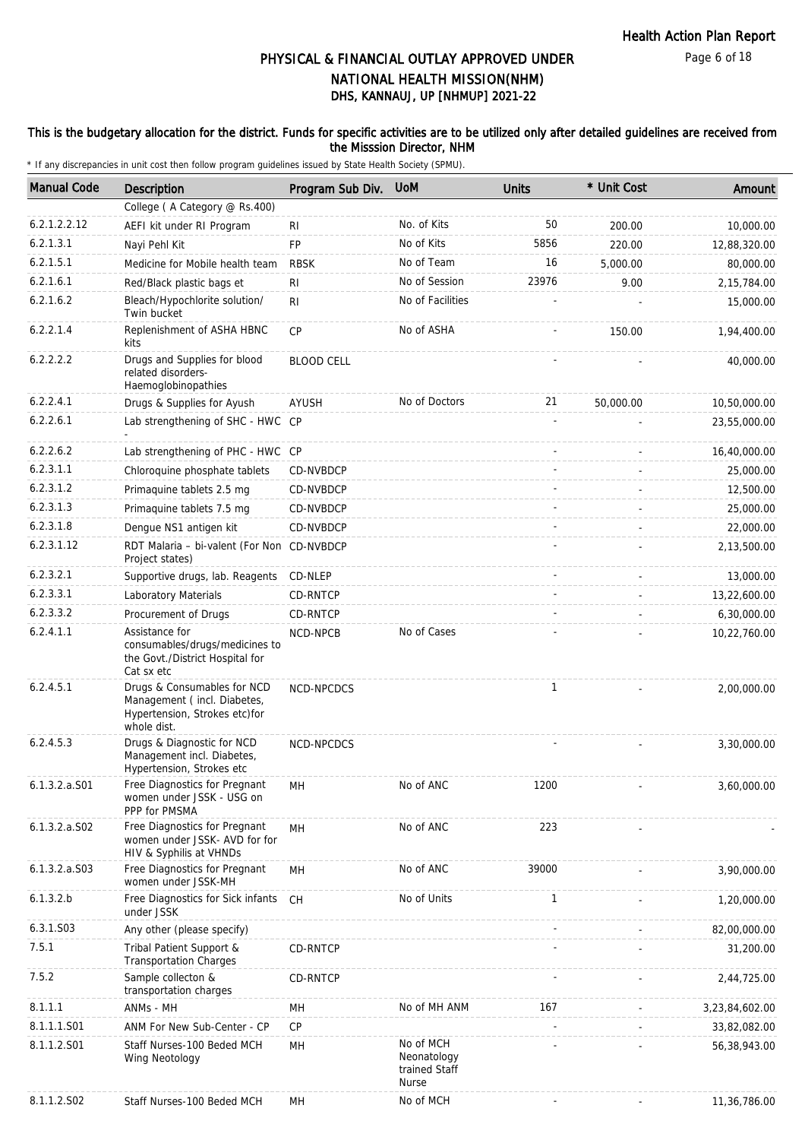### This is the budgetary allocation for the district. Funds for specific activities are to be utilized only after detailed guidelines are received from the Misssion Director, NHM

| <b>Manual Code</b> | <b>Description</b>                                                                                         | Program Sub Div.  | <b>UoM</b>                                                | <b>Units</b> | * Unit Cost | Amount         |
|--------------------|------------------------------------------------------------------------------------------------------------|-------------------|-----------------------------------------------------------|--------------|-------------|----------------|
|                    | College (A Category @ Rs.400)                                                                              |                   |                                                           |              |             |                |
| 6.2.1.2.2.12       | AEFI kit under RI Program                                                                                  | <b>RI</b>         | No. of Kits                                               | 50           | 200.00      | 10,000.00      |
| 6.2.1.3.1          | Nayi Pehl Kit                                                                                              | <b>FP</b>         | No of Kits                                                | 5856         | 220.00      | 12,88,320.00   |
| 6.2.1.5.1          | Medicine for Mobile health team                                                                            | <b>RBSK</b>       | No of Team                                                | 16           | 5,000.00    | 80,000.00      |
| 6.2.1.6.1          | Red/Black plastic bags et                                                                                  | RI                | No of Session                                             | 23976        | 9.00        | 2, 15, 784.00  |
| 6.2.1.6.2          | Bleach/Hypochlorite solution/<br>Twin bucket                                                               | RI                | No of Facilities                                          |              |             | 15,000.00      |
| 6.2.2.1.4          | Replenishment of ASHA HBNC<br>kits                                                                         | CP                | No of ASHA                                                |              | 150.00      | 1,94,400.00    |
| 6.2.2.2.2          | Drugs and Supplies for blood<br>related disorders-<br>Haemoglobinopathies                                  | <b>BLOOD CELL</b> |                                                           |              |             | 40,000.00      |
| 6.2.2.4.1          | Drugs & Supplies for Ayush                                                                                 | AYUSH             | No of Doctors                                             | 21           | 50,000.00   | 10,50,000.00   |
| 6.2.2.6.1          | Lab strengthening of SHC - HWC CP                                                                          |                   |                                                           |              |             | 23,55,000.00   |
| 6.2.2.6.2          | Lab strengthening of PHC - HWC CP                                                                          |                   |                                                           |              |             | 16,40,000.00   |
| 6.2.3.1.1          | Chloroquine phosphate tablets                                                                              | CD-NVBDCP         |                                                           |              |             | 25,000.00      |
| 6.2.3.1.2          | Primaguine tablets 2.5 mg                                                                                  | CD-NVBDCP         |                                                           |              |             | 12,500.00      |
| 6.2.3.1.3          | Primaguine tablets 7.5 mg                                                                                  | CD-NVBDCP         |                                                           |              |             | 25,000.00      |
| 6.2.3.1.8          | Dengue NS1 antigen kit                                                                                     | CD-NVBDCP         |                                                           |              |             | 22,000.00      |
| 6.2.3.1.12         | RDT Malaria - bi-valent (For Non CD-NVBDCP<br>Project states)                                              |                   |                                                           |              |             | 2,13,500.00    |
| 6.2.3.2.1          | Supportive drugs, lab. Reagents                                                                            | CD-NLEP           |                                                           |              |             | 13,000.00      |
| 6.2.3.3.1          | Laboratory Materials                                                                                       | CD-RNTCP          |                                                           |              |             | 13,22,600.00   |
| 6.2.3.3.2          | Procurement of Drugs                                                                                       | CD-RNTCP          |                                                           |              |             | 6,30,000.00    |
| 6.2.4.1.1          | Assistance for<br>consumables/drugs/medicines to<br>the Govt./District Hospital for<br>Cat sx etc          | NCD-NPCB          | No of Cases                                               |              |             | 10,22,760.00   |
| 6.2.4.5.1          | Drugs & Consumables for NCD<br>Management (incl. Diabetes,<br>Hypertension, Strokes etc)for<br>whole dist. | NCD-NPCDCS        |                                                           | $\mathbf{1}$ |             | 2,00,000.00    |
| 6.2.4.5.3          | Drugs & Diagnostic for NCD<br>Management incl. Diabetes,<br>Hypertension, Strokes etc                      | NCD-NPCDCS        |                                                           |              |             | 3,30,000.00    |
| $6.1.3.2.a.$ S01   | Free Diagnostics for Pregnant<br>women under JSSK - USG on<br>PPP for PMSMA                                | MН                | No of ANC                                                 | 1200         |             | 3,60,000.00    |
| $6.1.3.2.a.$ SO2   | Free Diagnostics for Pregnant<br>women under JSSK- AVD for for<br>HIV & Syphilis at VHNDs                  | MH                | No of ANC                                                 | 223          |             |                |
| 6.1.3.2.a.S03      | Free Diagnostics for Pregnant<br>women under JSSK-MH                                                       | MН                | No of ANC                                                 | 39000        |             | 3,90,000.00    |
| 6.1.3.2.b          | Free Diagnostics for Sick infants<br>under JSSK                                                            | <b>CH</b>         | No of Units                                               | $\mathbf{1}$ |             | 1,20,000.00    |
| 6.3.1.S03          | Any other (please specify)                                                                                 |                   |                                                           |              |             | 82,00,000.00   |
| 7.5.1              | Tribal Patient Support &<br><b>Transportation Charges</b>                                                  | CD-RNTCP          |                                                           |              |             | 31,200.00      |
| 7.5.2              | Sample collecton &<br>transportation charges                                                               | CD-RNTCP          |                                                           |              |             | 2,44,725.00    |
| 8.1.1.1            | ANMs - MH                                                                                                  | MН                | No of MH ANM                                              | 167          |             | 3,23,84,602.00 |
| 8.1.1.1.S01        | ANM For New Sub-Center - CP                                                                                | CP                |                                                           |              |             | 33,82,082.00   |
| 8.1.1.2.S01        | Staff Nurses-100 Beded MCH<br>Wing Neotology                                                               | MН                | No of MCH<br>Neonatology<br>trained Staff<br><b>Nurse</b> |              |             | 56,38,943.00   |
| 8.1.1.2.S02        | Staff Nurses-100 Beded MCH                                                                                 | MH                | No of MCH                                                 |              |             | 11,36,786.00   |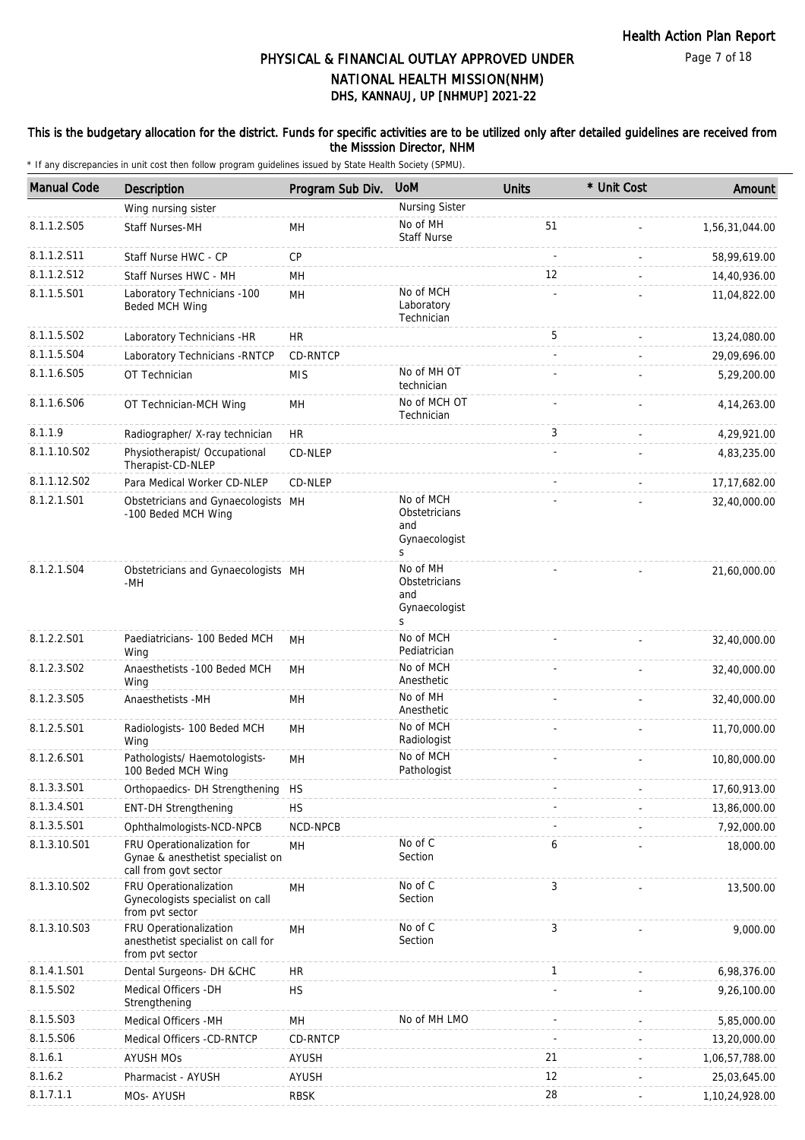### This is the budgetary allocation for the district. Funds for specific activities are to be utilized only after detailed guidelines are received from the Misssion Director, NHM

| <b>Manual Code</b> | <b>Description</b>                                                                       | Program Sub Div. | <b>UoM</b>                                              | <b>Units</b> | * Unit Cost | Amount         |
|--------------------|------------------------------------------------------------------------------------------|------------------|---------------------------------------------------------|--------------|-------------|----------------|
|                    | Wing nursing sister                                                                      |                  | Nursing Sister                                          |              |             |                |
| 8.1.1.2.S05        | Staff Nurses-MH                                                                          | MН               | No of MH<br><b>Staff Nurse</b>                          | 51           |             | 1,56,31,044.00 |
| 8.1.1.2.S11        | Staff Nurse HWC - CP                                                                     | CP               |                                                         |              |             | 58,99,619.00   |
| 8.1.1.2.S12        | Staff Nurses HWC - MH                                                                    | MH               |                                                         | 12           |             | 14,40,936.00   |
| 8.1.1.5.S01        | Laboratory Technicians -100<br>Beded MCH Wing                                            | MH               | No of MCH<br>Laboratory<br>Technician                   |              |             | 11,04,822.00   |
| 8.1.1.5.S02        | Laboratory Technicians -HR                                                               | <b>HR</b>        |                                                         | 5            |             | 13,24,080.00   |
| 8.1.1.5.S04        | Laboratory Technicians - RNTCP                                                           | CD-RNTCP         |                                                         |              |             | 29,09,696.00   |
| 8.1.1.6.S05        | OT Technician                                                                            | <b>MIS</b>       | No of MH OT<br>technician                               |              |             | 5,29,200.00    |
| 8.1.1.6.S06        | OT Technician-MCH Wing                                                                   | MН               | No of MCH OT<br>Technician                              |              |             | 4, 14, 263.00  |
| 8.1.1.9            | Radiographer/ X-ray technician                                                           | <b>HR</b>        |                                                         | 3            |             | 4,29,921.00    |
| 8.1.1.10.S02       | Physiotherapist/ Occupational<br>Therapist-CD-NLEP                                       | CD-NLEP          |                                                         |              |             | 4,83,235.00    |
| 8.1.1.12.S02       | Para Medical Worker CD-NLEP                                                              | CD-NLEP          |                                                         |              |             | 17, 17, 682.00 |
| 8.1.2.1.S01        | Obstetricians and Gynaecologists MH<br>-100 Beded MCH Wing                               |                  | No of MCH<br>Obstetricians<br>and<br>Gynaecologist<br>S |              |             | 32,40,000.00   |
| 8.1.2.1.S04        | Obstetricians and Gynaecologists MH<br>-MH                                               |                  | No of MH<br>Obstetricians<br>and<br>Gynaecologist<br>S  |              |             | 21,60,000.00   |
| 8.1.2.2.S01        | Paediatricians- 100 Beded MCH<br>Wing                                                    | <b>MH</b>        | No of MCH<br>Pediatrician                               |              |             | 32,40,000.00   |
| 8.1.2.3.S02        | Anaesthetists -100 Beded MCH<br>Wing                                                     | MH               | No of MCH<br>Anesthetic                                 |              |             | 32,40,000.00   |
| 8.1.2.3.S05        | Anaesthetists -MH                                                                        | MН               | No of MH<br>Anesthetic                                  |              |             | 32,40,000.00   |
| 8.1.2.5.S01        | Radiologists- 100 Beded MCH<br>Wing                                                      | MH               | No of MCH<br>Radiologist                                |              |             | 11,70,000.00   |
| 8.1.2.6.S01        | Pathologists/ Haemotologists-<br>100 Beded MCH Wing                                      | MH               | No of MCH<br>Pathologist                                |              |             | 10,80,000.00   |
| 8.1.3.3.S01        | Orthopaedics- DH Strengthening                                                           | <b>HS</b>        |                                                         |              |             | 17,60,913.00   |
| 8.1.3.4.S01        | <b>ENT-DH Strengthening</b>                                                              | <b>HS</b>        |                                                         |              |             | 13,86,000.00   |
| 8.1.3.5.S01        | Ophthalmologists-NCD-NPCB                                                                | NCD-NPCB         |                                                         |              |             | 7,92,000.00    |
| 8.1.3.10.S01       | FRU Operationalization for<br>Gynae & anesthetist specialist on<br>call from govt sector | MН               | No of C<br>Section                                      | 6            |             | 18,000.00      |
| 8.1.3.10.S02       | FRU Operationalization<br>Gynecologists specialist on call<br>from pvt sector            | MH               | No of C<br>Section                                      | 3            |             | 13,500.00      |
| 8.1.3.10.S03       | FRU Operationalization<br>anesthetist specialist on call for<br>from pvt sector          | MH               | No of C<br>Section                                      | 3            |             | 9,000.00       |
| 8.1.4.1.S01        | Dental Surgeons- DH &CHC                                                                 | <b>HR</b>        |                                                         | 1            |             | 6,98,376.00    |
| 8.1.5.S02          | Medical Officers - DH<br>Strengthening                                                   | <b>HS</b>        |                                                         |              |             | 9,26,100.00    |
| 8.1.5.S03          | Medical Officers - MH                                                                    | MH               | No of MH LMO                                            |              |             | 5,85,000.00    |
| 8.1.5.S06          | Medical Officers -CD-RNTCP                                                               | CD-RNTCP         |                                                         |              |             | 13,20,000.00   |
| 8.1.6.1            | <b>AYUSH MOs</b>                                                                         | AYUSH            |                                                         | 21           |             | 1,06,57,788.00 |
| 8.1.6.2            | Pharmacist - AYUSH                                                                       | <b>AYUSH</b>     |                                                         | 12           |             | 25,03,645.00   |
| 8.1.7.1.1          | MOs- AYUSH                                                                               | <b>RBSK</b>      |                                                         | 28           |             | 1,10,24,928.00 |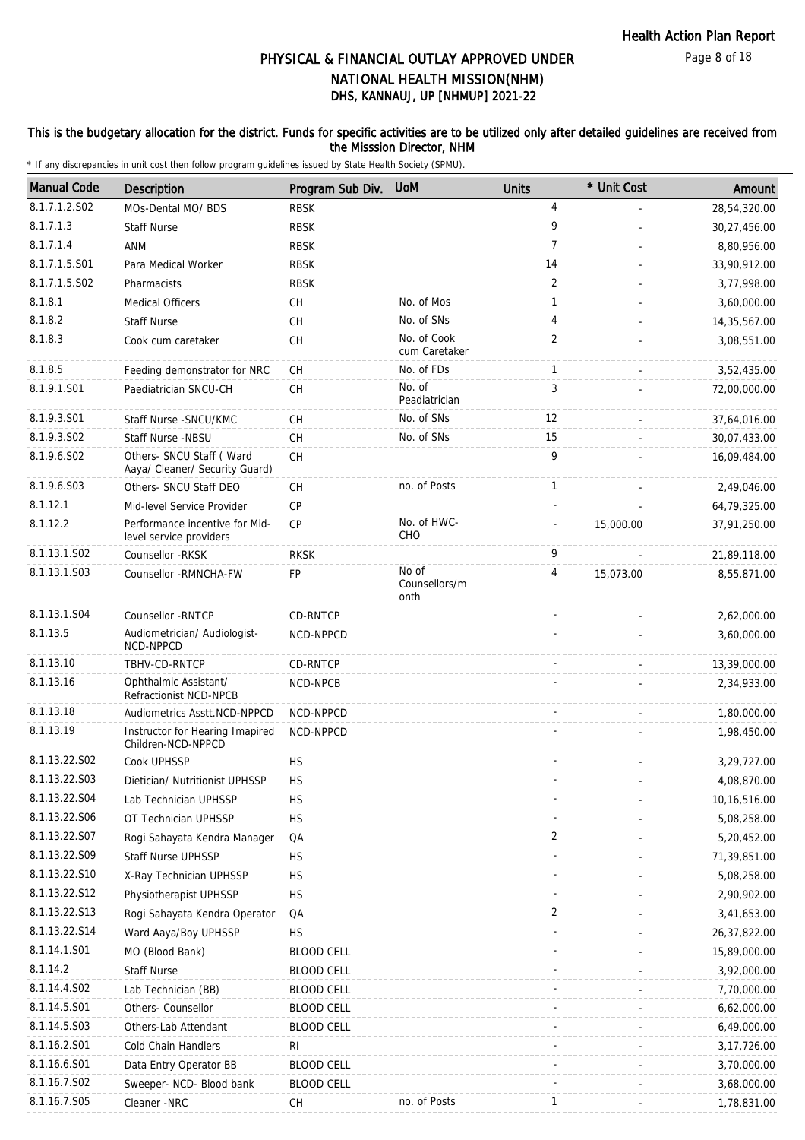### This is the budgetary allocation for the district. Funds for specific activities are to be utilized only after detailed guidelines are received from the Misssion Director, NHM

| <b>Manual Code</b>      | <b>Description</b>                                         | Program Sub Div. UoM |                                | <b>Units</b>   | * Unit Cost | Amount        |
|-------------------------|------------------------------------------------------------|----------------------|--------------------------------|----------------|-------------|---------------|
| 8.1.7.1.2.S02           | MOs-Dental MO/ BDS                                         | <b>RBSK</b>          |                                | $\overline{4}$ |             | 28,54,320.00  |
| 8.1.7.1.3               | <b>Staff Nurse</b>                                         | <b>RBSK</b>          |                                | 9              |             | 30,27,456.00  |
| 8.1.7.1.4               | <b>ANM</b>                                                 | <b>RBSK</b>          |                                | $\overline{7}$ |             | 8,80,956.00   |
| 8.1.7.1.5.S01           | Para Medical Worker                                        | <b>RBSK</b>          |                                | 14             |             | 33,90,912.00  |
| 8.1.7.1.5.S02           | Pharmacists                                                | <b>RBSK</b>          |                                | 2              |             | 3,77,998.00   |
| 8.1.8.1                 | <b>Medical Officers</b>                                    | CH                   | No. of Mos                     | 1              |             | 3,60,000.00   |
| 8.1.8.2                 | <b>Staff Nurse</b>                                         | CH                   | No. of SNs                     | $\overline{4}$ |             | 14,35,567.00  |
| 8.1.8.3                 | Cook cum caretaker                                         | <b>CH</b>            | No. of Cook<br>cum Caretaker   | 2              |             | 3,08,551.00   |
| 8.1.8.5                 | Feeding demonstrator for NRC                               | CH                   | No. of FDs                     | $\mathbf{1}$   |             | 3,52,435.00   |
| 8.1.9.1.S01             | Paediatrician SNCU-CH                                      | <b>CH</b>            | No. of<br>Peadiatrician        | 3              |             | 72,00,000.00  |
| 8.1.9.3.S01             | Staff Nurse - SNCU/KMC                                     | CH                   | No. of SNs                     | 12             |             | 37,64,016.00  |
| 8.1.9.3.SO <sub>2</sub> | Staff Nurse -NBSU                                          | СH                   | No. of SNs                     | 15             |             | 30,07,433.00  |
| 8.1.9.6.SO2             | Others- SNCU Staff (Ward<br>Aaya/ Cleaner/ Security Guard) | <b>CH</b>            |                                | 9              |             | 16,09,484.00  |
| 8.1.9.6.S03             | Others- SNCU Staff DEO                                     | CН                   | no. of Posts                   | 1              |             | 2,49,046.00   |
| 8.1.12.1                | Mid-level Service Provider                                 | <b>CP</b>            |                                |                |             | 64,79,325.00  |
| 8.1.12.2                | Performance incentive for Mid-<br>level service providers  | CP                   | No. of HWC-<br>CHO             |                | 15,000.00   | 37,91,250.00  |
| 8.1.13.1.S02            | Counsellor -RKSK                                           | <b>RKSK</b>          |                                | 9              |             | 21,89,118.00  |
| 8.1.13.1.S03            | Counsellor - RMNCHA-FW                                     | FP                   | No of<br>Counsellors/m<br>onth | 4              | 15,073.00   | 8,55,871.00   |
| 8.1.13.1.S04            | Counsellor - RNTCP                                         | CD-RNTCP             |                                |                |             | 2,62,000.00   |
| 8.1.13.5                | Audiometrician/ Audiologist-<br>NCD-NPPCD                  | NCD-NPPCD            |                                |                |             | 3,60,000.00   |
| 8.1.13.10               | TBHV-CD-RNTCP                                              | CD-RNTCP             |                                |                |             | 13,39,000.00  |
| 8.1.13.16               | Ophthalmic Assistant/<br>Refractionist NCD-NPCB            | NCD-NPCB             |                                |                |             | 2,34,933.00   |
| 8.1.13.18               | Audiometrics Asstt.NCD-NPPCD                               | NCD-NPPCD            |                                |                |             | 1,80,000.00   |
| 8.1.13.19               | Instructor for Hearing Imapired<br>Children-NCD-NPPCD      | NCD-NPPCD            |                                |                |             | 1,98,450.00   |
| 8.1.13.22.S02           | Cook UPHSSP                                                | <b>HS</b>            |                                |                |             | 3,29,727.00   |
| 8.1.13.22.S03           | Dietician/ Nutritionist UPHSSP                             | <b>HS</b>            |                                |                |             | 4,08,870.00   |
| 8.1.13.22.S04           | Lab Technician UPHSSP                                      | НS                   |                                |                |             | 10,16,516.00  |
| 8.1.13.22.S06           | OT Technician UPHSSP                                       | <b>HS</b>            |                                |                |             | 5,08,258.00   |
| 8.1.13.22.S07           | Rogi Sahayata Kendra Manager                               | QA                   |                                | 2              |             | 5,20,452.00   |
| 8.1.13.22.S09           | <b>Staff Nurse UPHSSP</b>                                  | HS.                  |                                |                |             | 71,39,851.00  |
| 8.1.13.22.S10           | X-Ray Technician UPHSSP                                    | <b>HS</b>            |                                |                |             | 5,08,258.00   |
| 8.1.13.22.S12           | Physiotherapist UPHSSP                                     | <b>HS</b>            |                                |                |             | 2,90,902.00   |
| 8.1.13.22.S13           | Rogi Sahayata Kendra Operator                              | QA                   |                                | 2              |             | 3,41,653.00   |
| 8.1.13.22.S14           | Ward Aaya/Boy UPHSSP                                       | <b>HS</b>            |                                |                |             | 26,37,822.00  |
| 8.1.14.1.S01            | MO (Blood Bank)                                            | <b>BLOOD CELL</b>    |                                |                |             | 15,89,000.00  |
| 8.1.14.2                | <b>Staff Nurse</b>                                         | <b>BLOOD CELL</b>    |                                |                |             | 3,92,000.00   |
| 8.1.14.4.S02            | Lab Technician (BB)                                        | <b>BLOOD CELL</b>    |                                |                |             | 7,70,000.00   |
| 8.1.14.5.S01            | Others- Counsellor                                         | <b>BLOOD CELL</b>    |                                |                |             | 6,62,000.00   |
| 8.1.14.5.S03            | Others-Lab Attendant                                       | <b>BLOOD CELL</b>    |                                |                |             | 6,49,000.00   |
| 8.1.16.2.S01            | Cold Chain Handlers                                        | RI.                  |                                |                |             | 3, 17, 726.00 |
| 8.1.16.6.S01            | Data Entry Operator BB                                     | <b>BLOOD CELL</b>    |                                |                |             | 3,70,000.00   |
| 8.1.16.7.S02            | Sweeper- NCD- Blood bank                                   | <b>BLOOD CELL</b>    |                                |                |             | 3,68,000.00   |
| 8.1.16.7.S05            | Cleaner -NRC                                               | <b>CH</b>            | no. of Posts                   | 1              |             | 1,78,831.00   |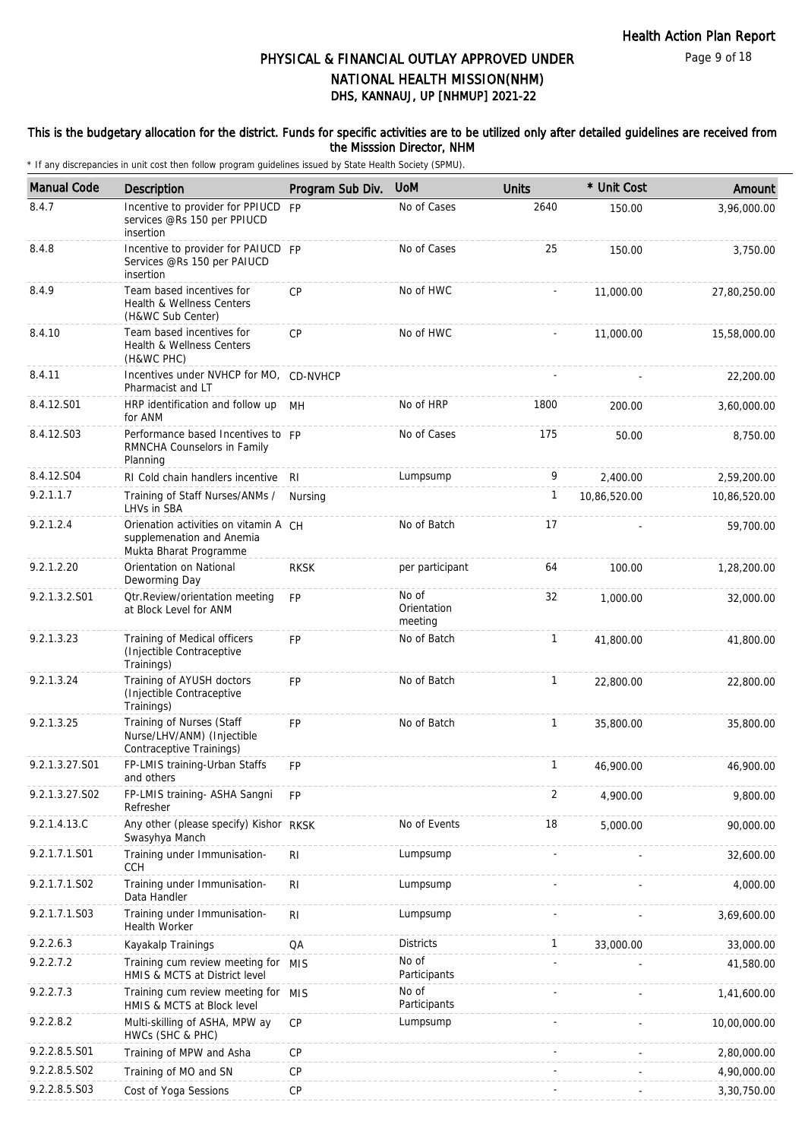### This is the budgetary allocation for the district. Funds for specific activities are to be utilized only after detailed guidelines are received from the Misssion Director, NHM

| <b>Manual Code</b> | <b>Description</b>                                                                           | Program Sub Div. | <b>UoM</b>                      | <b>Units</b> | * Unit Cost  | Amount       |
|--------------------|----------------------------------------------------------------------------------------------|------------------|---------------------------------|--------------|--------------|--------------|
| 8.4.7              | Incentive to provider for PPIUCD<br>services @Rs 150 per PPIUCD<br>insertion                 | <b>FP</b>        | No of Cases                     | 2640         | 150.00       | 3,96,000.00  |
| 8.4.8              | Incentive to provider for PAIUCD FP<br>Services @Rs 150 per PAIUCD<br>insertion              |                  | No of Cases                     | 25           | 150.00       | 3,750.00     |
| 8.4.9              | Team based incentives for<br>Health & Wellness Centers<br>(H&WC Sub Center)                  | <b>CP</b>        | No of HWC                       |              | 11,000.00    | 27,80,250.00 |
| 8.4.10             | Team based incentives for<br>Health & Wellness Centers<br>(H&WC PHC)                         | <b>CP</b>        | No of HWC                       |              | 11,000.00    | 15,58,000.00 |
| 8.4.11             | Incentives under NVHCP for MO, CD-NVHCP<br>Pharmacist and LT                                 |                  |                                 |              |              | 22,200.00    |
| 8.4.12.S01         | HRP identification and follow up MH<br>for ANM                                               |                  | No of HRP                       | 1800         | 200.00       | 3,60,000.00  |
| 8.4.12.S03         | Performance based Incentives to FP<br>RMNCHA Counselors in Family<br>Planning                |                  | No of Cases                     | 175          | 50.00        | 8,750.00     |
| 8.4.12.S04         | RI Cold chain handlers incentive RI                                                          |                  | Lumpsump                        | 9            | 2,400.00     | 2,59,200.00  |
| 9.2.1.1.7          | Training of Staff Nurses/ANMs /<br>LHVs in SBA                                               | Nursing          |                                 | 1            | 10,86,520.00 | 10,86,520.00 |
| 9.2.1.2.4          | Orienation activities on vitamin A CH<br>supplemenation and Anemia<br>Mukta Bharat Programme |                  | No of Batch                     | 17           |              | 59,700.00    |
| 9.2.1.2.20         | Orientation on National<br>Deworming Day                                                     | <b>RKSK</b>      | per participant                 | 64           | 100.00       | 1,28,200.00  |
| 9.2.1.3.2.S01      | Otr.Review/orientation meeting<br>at Block Level for ANM                                     | <b>FP</b>        | No of<br>Orientation<br>meeting | 32           | 1,000.00     | 32,000.00    |
| 9.2.1.3.23         | Training of Medical officers<br>(Injectible Contraceptive<br>Trainings)                      | <b>FP</b>        | No of Batch                     | $\mathbf{1}$ | 41,800.00    | 41,800.00    |
| 9.2.1.3.24         | Training of AYUSH doctors<br>(Injectible Contraceptive<br>Trainings)                         | <b>FP</b>        | No of Batch                     | $\mathbf{1}$ | 22,800.00    | 22,800.00    |
| 9.2.1.3.25         | Training of Nurses (Staff<br>Nurse/LHV/ANM) (Injectible<br>Contraceptive Trainings)          | FP               | No of Batch                     | $\mathbf{1}$ | 35,800.00    | 35,800.00    |
| 9.2.1.3.27.S01     | FP-LMIS training-Urban Staffs<br>and others                                                  | <b>FP</b>        |                                 | $\mathbf{1}$ | 46,900.00    | 46,900.00    |
| 9.2.1.3.27.S02     | FP-LMIS training- ASHA Sangni<br>Refresher                                                   | <b>FP</b>        |                                 | 2            | 4,900.00     | 9,800.00     |
| 9.2.1.4.13.C       | Any other (please specify) Kishor RKSK<br>Swasyhya Manch                                     |                  | No of Events                    | 18           | 5,000.00     | 90,000.00    |
| 9.2.1.7.1.S01      | Training under Immunisation-<br><b>CCH</b>                                                   | R <sub>1</sub>   | Lumpsump                        |              |              | 32,600.00    |
| 9.2.1.7.1.S02      | Training under Immunisation-<br>Data Handler                                                 | R <sub>l</sub>   | Lumpsump                        |              |              | 4,000.00     |
| 9.2.1.7.1.S03      | Training under Immunisation-<br><b>Health Worker</b>                                         | R <sub>1</sub>   | Lumpsump                        |              |              | 3,69,600.00  |
| 9.2.2.6.3          | Kayakalp Trainings                                                                           | QA               | <b>Districts</b>                | $\mathbf{1}$ | 33,000.00    | 33,000.00    |
| 9.2.2.7.2          | Training cum review meeting for<br>HMIS & MCTS at District level                             | <b>MIS</b>       | No of<br>Participants           |              |              | 41,580.00    |
| 9.2.2.7.3          | Training cum review meeting for MIS<br>HMIS & MCTS at Block level                            |                  | No of<br>Participants           |              |              | 1,41,600.00  |
| 9.2.2.8.2          | Multi-skilling of ASHA, MPW ay<br>HWCs (SHC & PHC)                                           | СP               | Lumpsump                        |              |              | 10,00,000.00 |
| 9.2.2.8.5.S01      | Training of MPW and Asha                                                                     | CP               |                                 |              |              | 2,80,000.00  |
| 9.2.2.8.5.S02      | Training of MO and SN                                                                        | CP               |                                 |              |              | 4,90,000.00  |
| 9.2.2.8.5.S03      | Cost of Yoga Sessions                                                                        | CP               |                                 |              |              | 3,30,750.00  |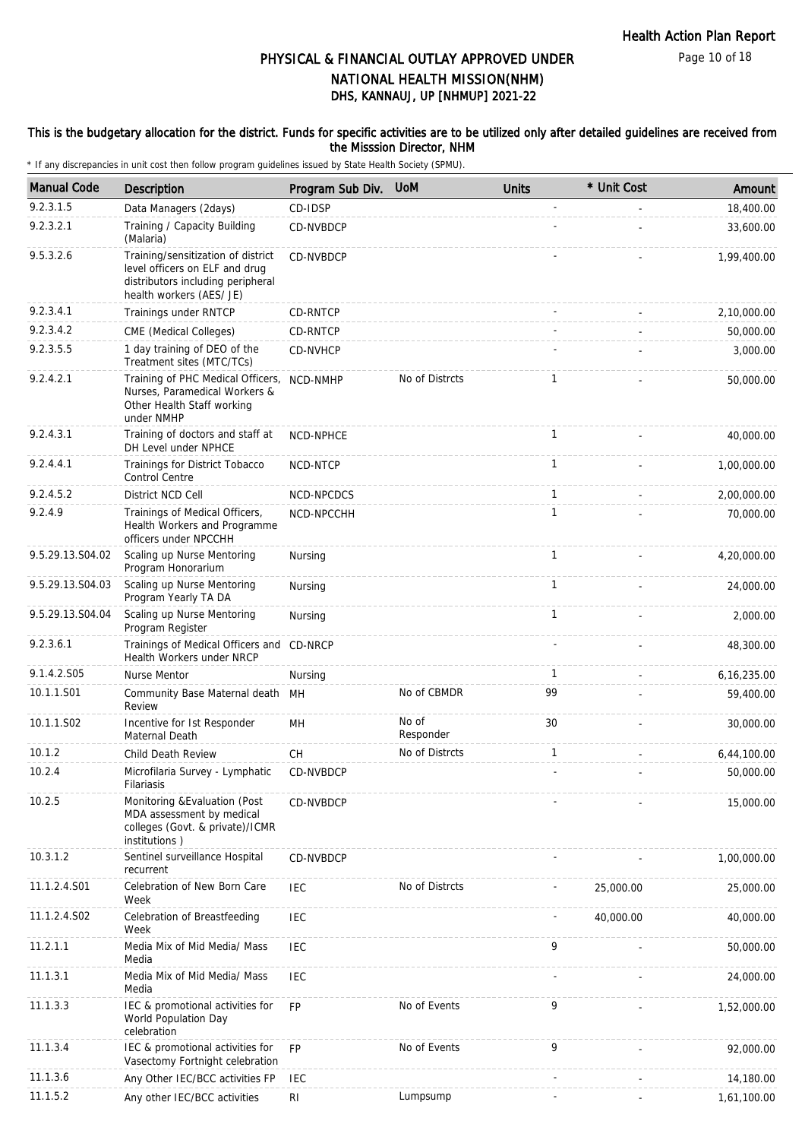### This is the budgetary allocation for the district. Funds for specific activities are to be utilized only after detailed guidelines are received from the Misssion Director, NHM

| <b>Manual Code</b> | Description                                                                                                                           | Program Sub Div. | <b>UoM</b>         | <b>Units</b> | * Unit Cost | Amount        |
|--------------------|---------------------------------------------------------------------------------------------------------------------------------------|------------------|--------------------|--------------|-------------|---------------|
| 9.2.3.1.5          | Data Managers (2days)                                                                                                                 | CD-IDSP          |                    |              |             | 18,400.00     |
| 9.2.3.2.1          | Training / Capacity Building<br>(Malaria)                                                                                             | CD-NVBDCP        |                    |              |             | 33,600.00     |
| 9.5.3.2.6          | Training/sensitization of district<br>level officers on ELF and drug<br>distributors including peripheral<br>health workers (AES/ JE) | CD-NVBDCP        |                    |              |             | 1,99,400.00   |
| 9.2.3.4.1          | Trainings under RNTCP                                                                                                                 | CD-RNTCP         |                    |              |             | 2,10,000.00   |
| 9.2.3.4.2          | CME (Medical Colleges)                                                                                                                | CD-RNTCP         |                    |              |             | 50,000.00     |
| 9.2.3.5.5          | 1 day training of DEO of the<br>Treatment sites (MTC/TCs)                                                                             | CD-NVHCP         |                    |              |             | 3,000.00      |
| 9.2.4.2.1          | Training of PHC Medical Officers,<br>Nurses, Paramedical Workers &<br>Other Health Staff working<br>under NMHP                        | NCD-NMHP         | No of Distrcts     | $\mathbf{1}$ |             | 50,000.00     |
| 9.2.4.3.1          | Training of doctors and staff at<br>DH Level under NPHCE                                                                              | NCD-NPHCE        |                    | $\mathbf{1}$ |             | 40,000.00     |
| 9.2.4.4.1          | Trainings for District Tobacco<br>Control Centre                                                                                      | NCD-NTCP         |                    | $\mathbf{1}$ |             | 1,00,000.00   |
| 9.2.4.5.2          | District NCD Cell                                                                                                                     | NCD-NPCDCS       |                    | $\mathbf{1}$ |             | 2,00,000.00   |
| 9.2.4.9            | Trainings of Medical Officers,<br>Health Workers and Programme<br>officers under NPCCHH                                               | NCD-NPCCHH       |                    | $\mathbf{1}$ |             | 70,000.00     |
| 9.5.29.13.S04.02   | Scaling up Nurse Mentoring<br>Program Honorarium                                                                                      | Nursing          |                    | $\mathbf{1}$ |             | 4,20,000.00   |
| 9.5.29.13.S04.03   | Scaling up Nurse Mentoring<br>Program Yearly TA DA                                                                                    | Nursing          |                    | $\mathbf{1}$ |             | 24,000.00     |
| 9.5.29.13.S04.04   | Scaling up Nurse Mentoring<br>Program Register                                                                                        | Nursing          |                    | $\mathbf{1}$ |             | 2,000.00      |
| 9.2.3.6.1          | Trainings of Medical Officers and CD-NRCP<br>Health Workers under NRCP                                                                |                  |                    |              |             | 48,300.00     |
| 9.1.4.2.S05        | Nurse Mentor                                                                                                                          | Nursing          |                    | $\mathbf{1}$ |             | 6, 16, 235.00 |
| 10.1.1.S01         | Community Base Maternal death<br>Review                                                                                               | <b>MH</b>        | No of CBMDR        | 99           |             | 59,400.00     |
| 10.1.1.S02         | Incentive for 1st Responder<br>Maternal Death                                                                                         | MH               | No of<br>Responder | 30           |             | 30,000.00     |
| 10.1.2             | Child Death Review                                                                                                                    | CH               | No of Distrcts     | $\mathbf{1}$ |             | 6,44,100.00   |
| 10.2.4             | Microfilaria Survey - Lymphatic<br>Filariasis                                                                                         | CD-NVBDCP        |                    |              |             | 50,000.00     |
| 10.2.5             | Monitoring & Evaluation (Post<br>MDA assessment by medical<br>colleges (Govt. & private)/ICMR<br>institutions)                        | CD-NVBDCP        |                    |              |             | 15,000.00     |
| 10.3.1.2           | Sentinel surveillance Hospital<br>recurrent                                                                                           | CD-NVBDCP        |                    |              |             | 1,00,000.00   |
| 11.1.2.4.S01       | Celebration of New Born Care<br>Week                                                                                                  | IEC              | No of Distrcts     |              | 25,000.00   | 25,000.00     |
| 11.1.2.4.S02       | Celebration of Breastfeeding<br>Week                                                                                                  | <b>IEC</b>       |                    |              | 40,000.00   | 40,000.00     |
| 11.2.1.1           | Media Mix of Mid Media/ Mass<br>Media                                                                                                 | <b>IEC</b>       |                    | 9            |             | 50,000.00     |
| 11.1.3.1           | Media Mix of Mid Media/ Mass<br>Media                                                                                                 | <b>IEC</b>       |                    |              |             | 24,000.00     |
| 11.1.3.3           | IEC & promotional activities for<br>World Population Day<br>celebration                                                               | <b>FP</b>        | No of Events       | 9            |             | 1,52,000.00   |
| 11.1.3.4           | IEC & promotional activities for<br>Vasectomy Fortnight celebration                                                                   | <b>FP</b>        | No of Events       | 9            |             | 92,000.00     |
| 11.1.3.6           | Any Other IEC/BCC activities FP                                                                                                       | <b>IEC</b>       |                    |              |             | 14,180.00     |
| 11.1.5.2           | Any other IEC/BCC activities                                                                                                          | <b>RI</b>        | Lumpsump           |              |             | 1,61,100.00   |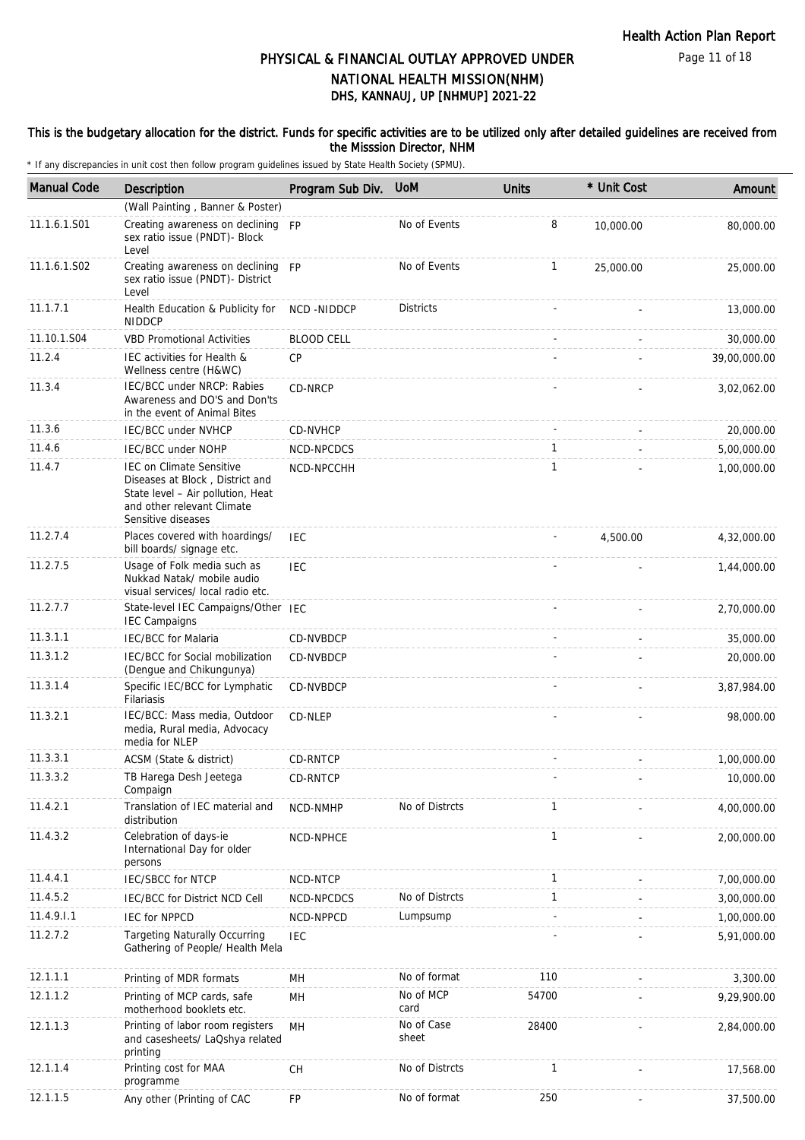### This is the budgetary allocation for the district. Funds for specific activities are to be utilized only after detailed guidelines are received from the Misssion Director, NHM

| <b>Manual Code</b> | Description                                                                                                                                                 | Program Sub Div.  | <b>UoM</b>          | <b>Units</b> | * Unit Cost | Amount       |
|--------------------|-------------------------------------------------------------------------------------------------------------------------------------------------------------|-------------------|---------------------|--------------|-------------|--------------|
|                    | (Wall Painting, Banner & Poster)                                                                                                                            |                   |                     |              |             |              |
| 11.1.6.1.S01       | Creating awareness on declining FP<br>sex ratio issue (PNDT)- Block<br>Level                                                                                |                   | No of Events        | 8            | 10,000.00   | 80,000.00    |
| 11.1.6.1.S02       | Creating awareness on declining FP<br>sex ratio issue (PNDT)- District<br>Level                                                                             |                   | No of Events        | 1            | 25,000.00   | 25,000.00    |
| 11.1.7.1           | Health Education & Publicity for<br><b>NIDDCP</b>                                                                                                           | <b>NCD-NIDDCP</b> | <b>Districts</b>    |              |             | 13,000.00    |
| 11.10.1.S04        | <b>VBD Promotional Activities</b>                                                                                                                           | <b>BLOOD CELL</b> |                     |              |             | 30,000.00    |
| 11.2.4             | IEC activities for Health &<br>Wellness centre (H&WC)                                                                                                       | <b>CP</b>         |                     |              |             | 39,00,000.00 |
| 11.3.4             | IEC/BCC under NRCP: Rabies<br>Awareness and DO'S and Don'ts<br>in the event of Animal Bites                                                                 | CD-NRCP           |                     |              |             | 3,02,062.00  |
| 11.3.6             | IEC/BCC under NVHCP                                                                                                                                         | CD-NVHCP          |                     |              |             | 20,000.00    |
| 11.4.6             | <b>IEC/BCC under NOHP</b>                                                                                                                                   | NCD-NPCDCS        |                     | 1            |             | 5,00,000.00  |
| 11.4.7             | <b>IEC on Climate Sensitive</b><br>Diseases at Block, District and<br>State level - Air pollution, Heat<br>and other relevant Climate<br>Sensitive diseases | NCD-NPCCHH        |                     | 1            |             | 1,00,000.00  |
| 11.2.7.4           | Places covered with hoardings/<br>bill boards/ signage etc.                                                                                                 | <b>IEC</b>        |                     |              | 4,500.00    | 4,32,000.00  |
| 11.2.7.5           | Usage of Folk media such as<br>Nukkad Natak/ mobile audio<br>visual services/ local radio etc.                                                              | <b>IEC</b>        |                     |              |             | 1,44,000.00  |
| 11.2.7.7           | State-level IEC Campaigns/Other IEC<br><b>IEC Campaigns</b>                                                                                                 |                   |                     |              |             | 2,70,000.00  |
| 11.3.1.1           | <b>IEC/BCC for Malaria</b>                                                                                                                                  | CD-NVBDCP         |                     |              |             | 35,000.00    |
| 11.3.1.2           | IEC/BCC for Social mobilization<br>(Dengue and Chikungunya)                                                                                                 | CD-NVBDCP         |                     |              |             | 20,000.00    |
| 11.3.1.4           | Specific IEC/BCC for Lymphatic<br>Filariasis                                                                                                                | CD-NVBDCP         |                     |              |             | 3,87,984.00  |
| 11.3.2.1           | IEC/BCC: Mass media, Outdoor<br>media, Rural media, Advocacy<br>media for NLEP                                                                              | CD-NLEP           |                     |              |             | 98,000.00    |
| 11.3.3.1           | ACSM (State & district)                                                                                                                                     | CD-RNTCP          |                     |              |             | 1,00,000.00  |
| 11.3.3.2           | TB Harega Desh Jeetega<br>Compaign                                                                                                                          | CD-RNTCP          |                     |              |             | 10,000.00    |
| 11.4.2.1           | Translation of IEC material and<br>distribution                                                                                                             | NCD-NMHP          | No of Distrcts      | 1            |             | 4,00,000.00  |
| 11.4.3.2           | Celebration of days-ie<br>International Day for older<br>persons                                                                                            | NCD-NPHCE         |                     | 1            |             | 2,00,000.00  |
| 11.4.4.1           | <b>IEC/SBCC for NTCP</b>                                                                                                                                    | NCD-NTCP          |                     | 1            |             | 7,00,000.00  |
| 11.4.5.2           | <b>IEC/BCC for District NCD Cell</b>                                                                                                                        | NCD-NPCDCS        | No of Distrcts      | 1            |             | 3,00,000.00  |
| 11.4.9.1.1         | <b>IEC for NPPCD</b>                                                                                                                                        | NCD-NPPCD         | Lumpsump            |              |             | 1,00,000.00  |
| 11.2.7.2           | <b>Targeting Naturally Occurring</b><br>Gathering of People/ Health Mela                                                                                    | IEC               |                     |              |             | 5,91,000.00  |
| 12.1.1.1           | Printing of MDR formats                                                                                                                                     | MH                | No of format        | 110          |             | 3,300.00     |
| 12.1.1.2           | Printing of MCP cards, safe<br>motherhood booklets etc.                                                                                                     | MH                | No of MCP<br>card   | 54700        |             | 9,29,900.00  |
| 12.1.1.3           | Printing of labor room registers<br>and casesheets/ LaQshya related<br>printing                                                                             | MH                | No of Case<br>sheet | 28400        |             | 2,84,000.00  |
| 12.1.1.4           | Printing cost for MAA<br>programme                                                                                                                          | <b>CH</b>         | No of Distrcts      | 1            |             | 17,568.00    |
| 12.1.1.5           | Any other (Printing of CAC                                                                                                                                  | FP                | No of format        | 250          |             | 37,500.00    |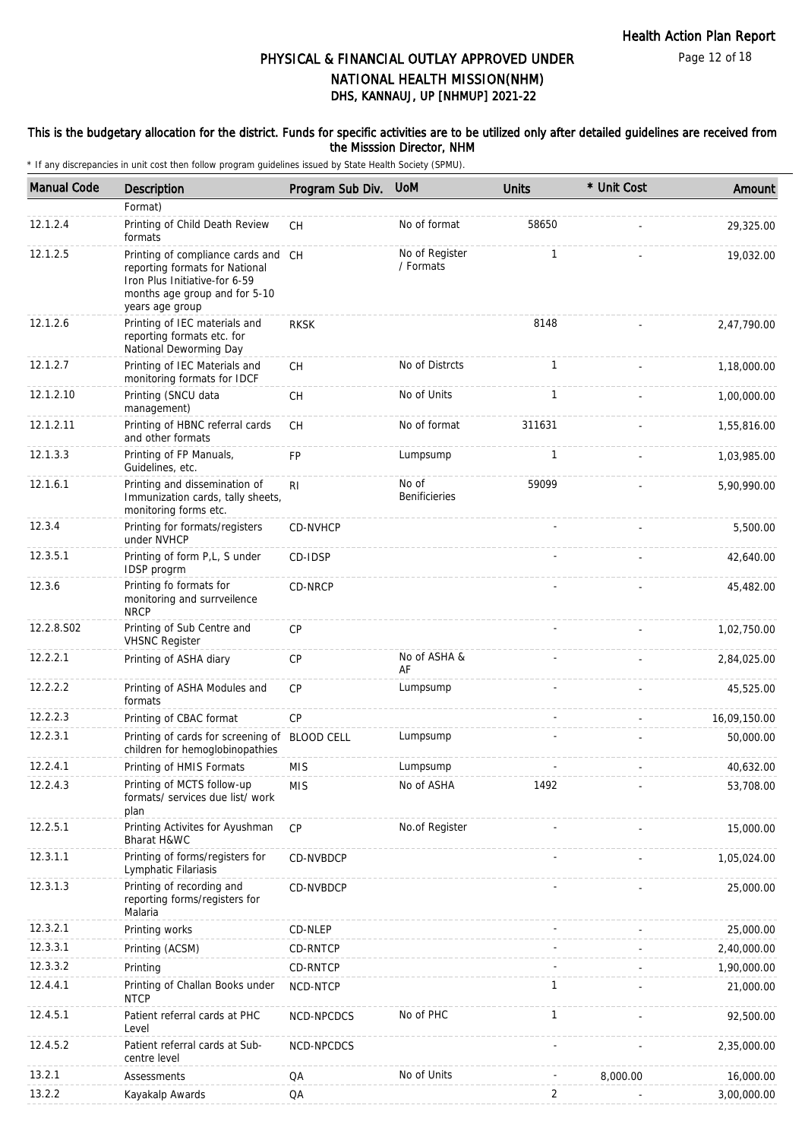### This is the budgetary allocation for the district. Funds for specific activities are to be utilized only after detailed guidelines are received from the Misssion Director, NHM

| <b>Manual Code</b> | Description                                                                                                                                                | Program Sub Div. | <b>UoM</b>                    | <b>Units</b>   | * Unit Cost | Amount       |
|--------------------|------------------------------------------------------------------------------------------------------------------------------------------------------------|------------------|-------------------------------|----------------|-------------|--------------|
|                    | Format)                                                                                                                                                    |                  |                               |                |             |              |
| 12.1.2.4           | Printing of Child Death Review<br>formats                                                                                                                  | <b>CH</b>        | No of format                  | 58650          |             | 29,325.00    |
| 12.1.2.5           | Printing of compliance cards and CH<br>reporting formats for National<br>Iron Plus Initiative-for 6-59<br>months age group and for 5-10<br>years age group |                  | No of Register<br>/ Formats   | $\mathbf{1}$   |             | 19,032.00    |
| 12.1.2.6           | Printing of IEC materials and<br>reporting formats etc. for<br>National Deworming Day                                                                      | <b>RKSK</b>      |                               | 8148           |             | 2,47,790.00  |
| 12.1.2.7           | Printing of IEC Materials and<br>monitoring formats for IDCF                                                                                               | <b>CH</b>        | No of Distrcts                | $\mathbf{1}$   |             | 1,18,000.00  |
| 12.1.2.10          | Printing (SNCU data<br>management)                                                                                                                         | CH               | No of Units                   | $\mathbf{1}$   |             | 1,00,000.00  |
| 12.1.2.11          | Printing of HBNC referral cards<br>and other formats                                                                                                       | <b>CH</b>        | No of format                  | 311631         |             | 1,55,816.00  |
| 12.1.3.3           | Printing of FP Manuals,<br>Guidelines, etc.                                                                                                                | <b>FP</b>        | Lumpsump                      | $\mathbf{1}$   |             | 1,03,985.00  |
| 12.1.6.1           | Printing and dissemination of<br>Immunization cards, tally sheets,<br>monitoring forms etc.                                                                | R <sub>l</sub>   | No of<br><b>Benificieries</b> | 59099          |             | 5,90,990.00  |
| 12.3.4             | Printing for formats/registers<br>under NVHCP                                                                                                              | CD-NVHCP         |                               |                |             | 5,500.00     |
| 12.3.5.1           | Printing of form P,L, S under<br>IDSP progrm                                                                                                               | CD-IDSP          |                               |                |             | 42,640.00    |
| 12.3.6             | Printing fo formats for<br>monitoring and surrveilence<br><b>NRCP</b>                                                                                      | CD-NRCP          |                               |                |             | 45,482.00    |
| 12.2.8.S02         | Printing of Sub Centre and<br><b>VHSNC Register</b>                                                                                                        | <b>CP</b>        |                               |                |             | 1,02,750.00  |
| 12.2.2.1           | Printing of ASHA diary                                                                                                                                     | <b>CP</b>        | No of ASHA &<br>AF            |                |             | 2,84,025.00  |
| 12.2.2.2           | Printing of ASHA Modules and<br>formats                                                                                                                    | CP               | Lumpsump                      |                |             | 45,525.00    |
| 12.2.2.3           | Printing of CBAC format                                                                                                                                    | <b>CP</b>        |                               |                |             | 16,09,150.00 |
| 12.2.3.1           | Printing of cards for screening of BLOOD CELL<br>children for hemoglobinopathies                                                                           |                  | Lumpsump                      |                |             | 50,000.00    |
| 12.2.4.1           | Printing of HMIS Formats                                                                                                                                   | <b>MIS</b>       | Lumpsump                      |                |             | 40,632.00    |
| 12.2.4.3           | Printing of MCTS follow-up<br>formats/ services due list/ work<br>plan                                                                                     | <b>MIS</b>       | No of ASHA                    | 1492           |             | 53,708.00    |
| 12.2.5.1           | Printing Activites for Ayushman<br>Bharat H&WC                                                                                                             | <b>CP</b>        | No.of Register                |                |             | 15,000.00    |
| 12.3.1.1           | Printing of forms/registers for<br>Lymphatic Filariasis                                                                                                    | CD-NVBDCP        |                               |                |             | 1,05,024.00  |
| 12.3.1.3           | Printing of recording and<br>reporting forms/registers for<br>Malaria                                                                                      | CD-NVBDCP        |                               |                |             | 25,000.00    |
| 12.3.2.1           | Printing works                                                                                                                                             | CD-NLEP          |                               |                |             | 25,000.00    |
| 12.3.3.1           | Printing (ACSM)                                                                                                                                            | CD-RNTCP         |                               |                |             | 2,40,000.00  |
| 12.3.3.2           | Printing                                                                                                                                                   | CD-RNTCP         |                               |                |             | 1,90,000.00  |
| 12.4.4.1           | Printing of Challan Books under<br><b>NTCP</b>                                                                                                             | NCD-NTCP         |                               | $\mathbf{1}$   |             | 21,000.00    |
| 12.4.5.1           | Patient referral cards at PHC<br>Level                                                                                                                     | NCD-NPCDCS       | No of PHC                     | $\mathbf{1}$   |             | 92,500.00    |
| 12.4.5.2           | Patient referral cards at Sub-<br>centre level                                                                                                             | NCD-NPCDCS       |                               |                |             | 2,35,000.00  |
| 13.2.1             | Assessments                                                                                                                                                | QA               | No of Units                   |                | 8,000.00    | 16,000.00    |
| 13.2.2             | Kayakalp Awards                                                                                                                                            | QA               |                               | $\overline{2}$ |             | 3,00,000.00  |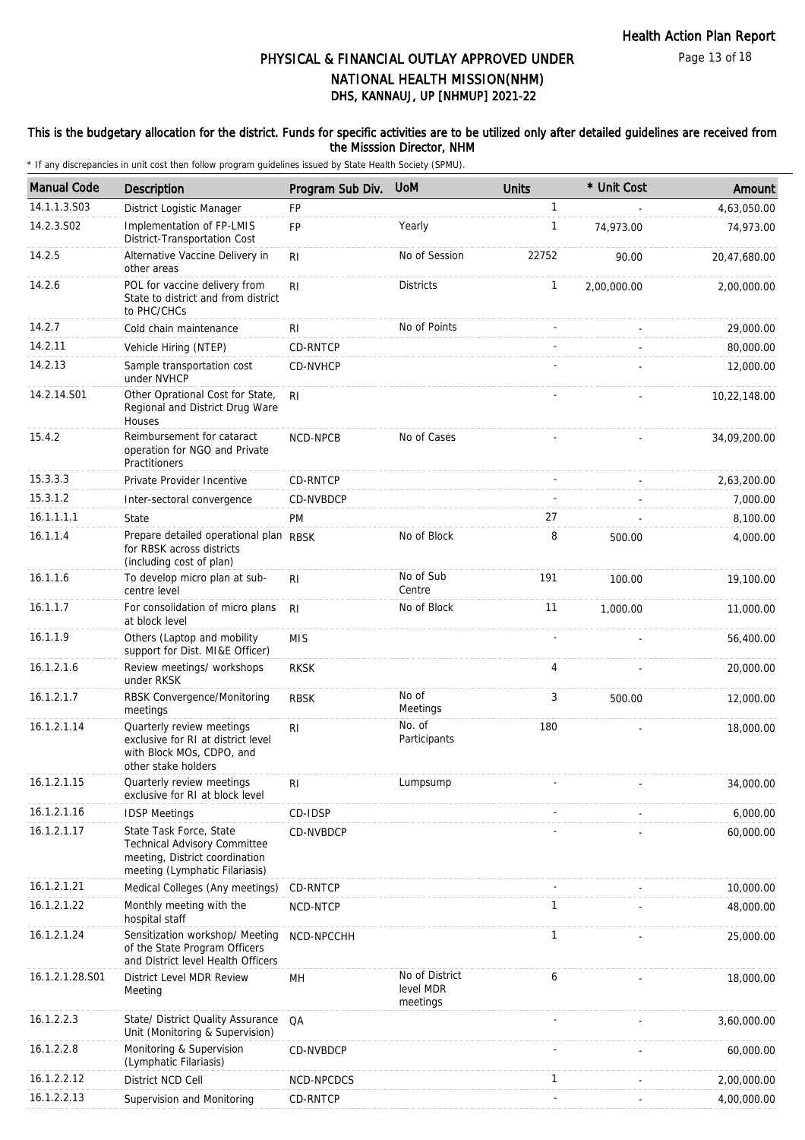### This is the budgetary allocation for the district. Funds for specific activities are to be utilized only after detailed guidelines are received from the Misssion Director, NHM

| <b>Manual Code</b> | <b>Description</b>                                                                                                                 | Program Sub Div. | <b>UoM</b>                              | <b>Units</b> | * Unit Cost | Amount       |
|--------------------|------------------------------------------------------------------------------------------------------------------------------------|------------------|-----------------------------------------|--------------|-------------|--------------|
| 14.1.1.3.S03       | District Logistic Manager                                                                                                          | <b>FP</b>        |                                         | $\mathbf{1}$ |             | 4,63,050.00  |
| 14.2.3.S02         | Implementation of FP-LMIS<br>District-Transportation Cost                                                                          | <b>FP</b>        | Yearly                                  | $\mathbf{1}$ | 74,973.00   | 74,973.00    |
| 14.2.5             | Alternative Vaccine Delivery in<br>other areas                                                                                     | R <sub>l</sub>   | No of Session                           | 22752        | 90.00       | 20,47,680.00 |
| 14.2.6             | POL for vaccine delivery from<br>State to district and from district<br>to PHC/CHCs                                                | R <sub>l</sub>   | <b>Districts</b>                        | $\mathbf{1}$ | 2,00,000.00 | 2,00,000.00  |
| 14.2.7             | Cold chain maintenance                                                                                                             | <b>RI</b>        | No of Points                            |              |             | 29,000.00    |
| 14.2.11            | Vehicle Hiring (NTEP)                                                                                                              | CD-RNTCP         |                                         |              |             | 80,000.00    |
| 14.2.13            | Sample transportation cost<br>under NVHCP                                                                                          | CD-NVHCP         |                                         |              |             | 12,000.00    |
| 14.2.14.S01        | Other Oprational Cost for State,<br>Regional and District Drug Ware<br>Houses                                                      | -RI              |                                         |              |             | 10,22,148.00 |
| 15.4.2             | Reimbursement for cataract<br>operation for NGO and Private<br>Practitioners                                                       | NCD-NPCB         | No of Cases                             |              |             | 34,09,200.00 |
| 15.3.3.3           | Private Provider Incentive                                                                                                         | CD-RNTCP         |                                         |              |             | 2,63,200.00  |
| 15.3.1.2           | Inter-sectoral convergence                                                                                                         | CD-NVBDCP        |                                         |              |             | 7,000.00     |
| 16.1.1.1.1         | State                                                                                                                              | <b>PM</b>        |                                         | 27           |             | 8,100.00     |
| 16.1.1.4           | Prepare detailed operational plan RBSK<br>for RBSK across districts<br>(including cost of plan)                                    |                  | No of Block                             | 8            | 500.00      | 4,000.00     |
| 16.1.1.6           | To develop micro plan at sub-<br>centre level                                                                                      | RI.              | No of Sub<br>Centre                     | 191          | 100.00      | 19,100.00    |
| 16.1.1.7           | For consolidation of micro plans<br>at block level                                                                                 | <b>RI</b>        | No of Block                             | 11           | 1,000.00    | 11,000.00    |
| 16.1.1.9           | Others (Laptop and mobility<br>support for Dist. MI&E Officer)                                                                     | <b>MIS</b>       |                                         |              |             | 56,400.00    |
| 16.1.2.1.6         | Review meetings/ workshops<br>under RKSK                                                                                           | <b>RKSK</b>      |                                         | 4            |             | 20,000.00    |
| 16.1.2.1.7         | RBSK Convergence/Monitoring<br>meetings                                                                                            | <b>RBSK</b>      | No of<br>Meetings                       | 3            | 500.00      | 12,000.00    |
| 16.1.2.1.14        | Quarterly review meetings<br>exclusive for RI at district level<br>with Block MOs, CDPO, and<br>other stake holders                | R <sub>l</sub>   | No. of<br>Participants                  | 180          |             | 18,000.00    |
| 16.1.2.1.15        | Quarterly review meetings<br>exclusive for RI at block level                                                                       | <b>RI</b>        | Lumpsump                                |              |             | 34,000.00    |
| 16.1.2.1.16        | <b>IDSP Meetings</b>                                                                                                               | CD-IDSP          |                                         |              |             | 6,000.00     |
| 16.1.2.1.17        | State Task Force, State<br><b>Technical Advisory Committee</b><br>meeting, District coordination<br>meeting (Lymphatic Filariasis) | CD-NVBDCP        |                                         |              |             | 60,000.00    |
| 16.1.2.1.21        | Medical Colleges (Any meetings)                                                                                                    | CD-RNTCP         |                                         |              |             | 10,000.00    |
| 16.1.2.1.22        | Monthly meeting with the<br>hospital staff                                                                                         | NCD-NTCP         |                                         | $\mathbf{1}$ |             | 48,000.00    |
| 16.1.2.1.24        | Sensitization workshop/ Meeting<br>of the State Program Officers<br>and District level Health Officers                             | NCD-NPCCHH       |                                         | 1            |             | 25,000.00    |
| 16.1.2.1.28.S01    | District Level MDR Review<br>Meeting                                                                                               | MН               | No of District<br>level MDR<br>meetings | 6            |             | 18,000.00    |
| 16.1.2.2.3         | State/ District Quality Assurance<br>Unit (Monitoring & Supervision)                                                               | QA               |                                         |              |             | 3,60,000.00  |
| 16.1.2.2.8         | Monitoring & Supervision<br>(Lymphatic Filariasis)                                                                                 | CD-NVBDCP        |                                         |              |             | 60,000.00    |
| 16.1.2.2.12        | District NCD Cell                                                                                                                  | NCD-NPCDCS       |                                         | $\mathbf{1}$ |             | 2,00,000.00  |
| 16.1.2.2.13        | Supervision and Monitoring                                                                                                         | CD-RNTCP         |                                         |              |             | 4,00,000.00  |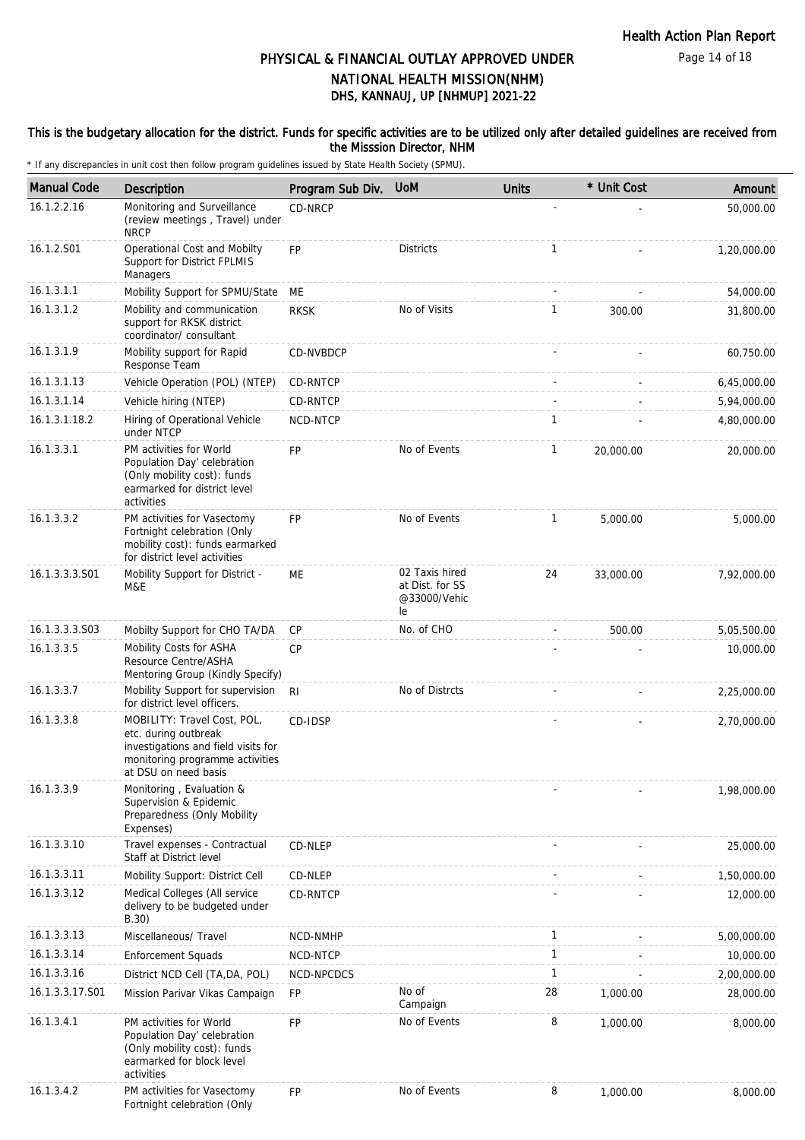Page 14 of 18

# DHS, KANNAUJ, UP [NHMUP] 2021-22 PHYSICAL & FINANCIAL OUTLAY APPROVED UNDER NATIONAL HEALTH MISSION(NHM)

### This is the budgetary allocation for the district. Funds for specific activities are to be utilized only after detailed guidelines are received from the Misssion Director, NHM

| <b>Manual Code</b> | Description                                                                                                                                           | Program Sub Div. | <b>UoM</b>                                              | <b>Units</b> | * Unit Cost | Amount      |
|--------------------|-------------------------------------------------------------------------------------------------------------------------------------------------------|------------------|---------------------------------------------------------|--------------|-------------|-------------|
| 16.1.2.2.16        | Monitoring and Surveillance<br>(review meetings, Travel) under<br><b>NRCP</b>                                                                         | CD-NRCP          |                                                         |              |             | 50,000.00   |
| 16.1.2.S01         | Operational Cost and Mobilty<br>Support for District FPLMIS<br>Managers                                                                               | <b>FP</b>        | <b>Districts</b>                                        | $\mathbf{1}$ |             | 1,20,000.00 |
| 16.1.3.1.1         | Mobility Support for SPMU/State                                                                                                                       | ME               |                                                         |              |             | 54,000.00   |
| 16.1.3.1.2         | Mobility and communication<br>support for RKSK district<br>coordinator/consultant                                                                     | <b>RKSK</b>      | No of Visits                                            | $\mathbf{1}$ | 300.00      | 31,800.00   |
| 16.1.3.1.9         | Mobility support for Rapid<br>Response Team                                                                                                           | CD-NVBDCP        |                                                         |              |             | 60,750.00   |
| 16.1.3.1.13        | Vehicle Operation (POL) (NTEP)                                                                                                                        | CD-RNTCP         |                                                         |              |             | 6,45,000.00 |
| 16.1.3.1.14        | Vehicle hiring (NTEP)                                                                                                                                 | CD-RNTCP         |                                                         |              |             | 5,94,000.00 |
| 16.1.3.1.18.2      | Hiring of Operational Vehicle<br>under NTCP                                                                                                           | NCD-NTCP         |                                                         | 1            |             | 4,80,000.00 |
| 16.1.3.3.1         | PM activities for World<br>Population Day' celebration<br>(Only mobility cost): funds<br>earmarked for district level<br>activities                   | FP               | No of Events                                            | $\mathbf{1}$ | 20,000.00   | 20,000.00   |
| 16.1.3.3.2         | PM activities for Vasectomy<br>Fortnight celebration (Only<br>mobility cost): funds earmarked<br>for district level activities                        | <b>FP</b>        | No of Events                                            | 1            | 5,000.00    | 5,000.00    |
| 16.1.3.3.3.S01     | Mobility Support for District -<br>M&E                                                                                                                | ME               | 02 Taxis hired<br>at Dist. for SS<br>@33000/Vehic<br>le | 24           | 33,000.00   | 7,92,000.00 |
| 16.1.3.3.3.S03     | Mobilty Support for CHO TA/DA                                                                                                                         | CP               | No. of CHO                                              |              | 500.00      | 5,05,500.00 |
| 16.1.3.3.5         | Mobility Costs for ASHA<br>Resource Centre/ASHA<br>Mentoring Group (Kindly Specify)                                                                   | <b>CP</b>        |                                                         |              |             | 10,000.00   |
| 16.1.3.3.7         | Mobility Support for supervision<br>for district level officers.                                                                                      | RI.              | No of Distrcts                                          |              |             | 2,25,000.00 |
| 16.1.3.3.8         | MOBILITY: Travel Cost, POL,<br>etc. during outbreak<br>investigations and field visits for<br>monitoring programme activities<br>at DSU on need basis | CD-IDSP          |                                                         |              |             | 2,70,000.00 |
| 16.1.3.3.9         | Monitoring, Evaluation &<br>Supervision & Epidemic<br>Preparedness (Only Mobility<br>Expenses)                                                        |                  |                                                         |              |             | 1,98,000.00 |
| 16.1.3.3.10        | Travel expenses - Contractual<br>Staff at District level                                                                                              | CD-NLEP          |                                                         |              |             | 25,000.00   |
| 16.1.3.3.11        | Mobility Support: District Cell                                                                                                                       | CD-NLEP          |                                                         |              |             | 1,50,000.00 |
| 16.1.3.3.12        | Medical Colleges (All service<br>delivery to be budgeted under<br>B.30)                                                                               | <b>CD-RNTCP</b>  |                                                         |              |             | 12,000.00   |
| 16.1.3.3.13        | Miscellaneous/ Travel                                                                                                                                 | NCD-NMHP         |                                                         | 1            |             | 5,00,000.00 |
| 16.1.3.3.14        | <b>Enforcement Squads</b>                                                                                                                             | NCD-NTCP         |                                                         | $\mathbf{1}$ |             | 10,000.00   |
| 16.1.3.3.16        | District NCD Cell (TA, DA, POL)                                                                                                                       | NCD-NPCDCS       |                                                         | $\mathbf{1}$ |             | 2,00,000.00 |
| 16.1.3.3.17.S01    | Mission Parivar Vikas Campaign                                                                                                                        | <b>FP</b>        | No of<br>Campaign                                       | 28           | 1,000.00    | 28,000.00   |
| 16.1.3.4.1         | PM activities for World<br>Population Day' celebration<br>(Only mobility cost): funds<br>earmarked for block level<br>activities                      | <b>FP</b>        | No of Events                                            | 8            | 1,000.00    | 8,000.00    |
| 16.1.3.4.2         | PM activities for Vasectomy<br>Fortnight celebration (Only                                                                                            | FP               | No of Events                                            | 8            | 1,000.00    | 8,000.00    |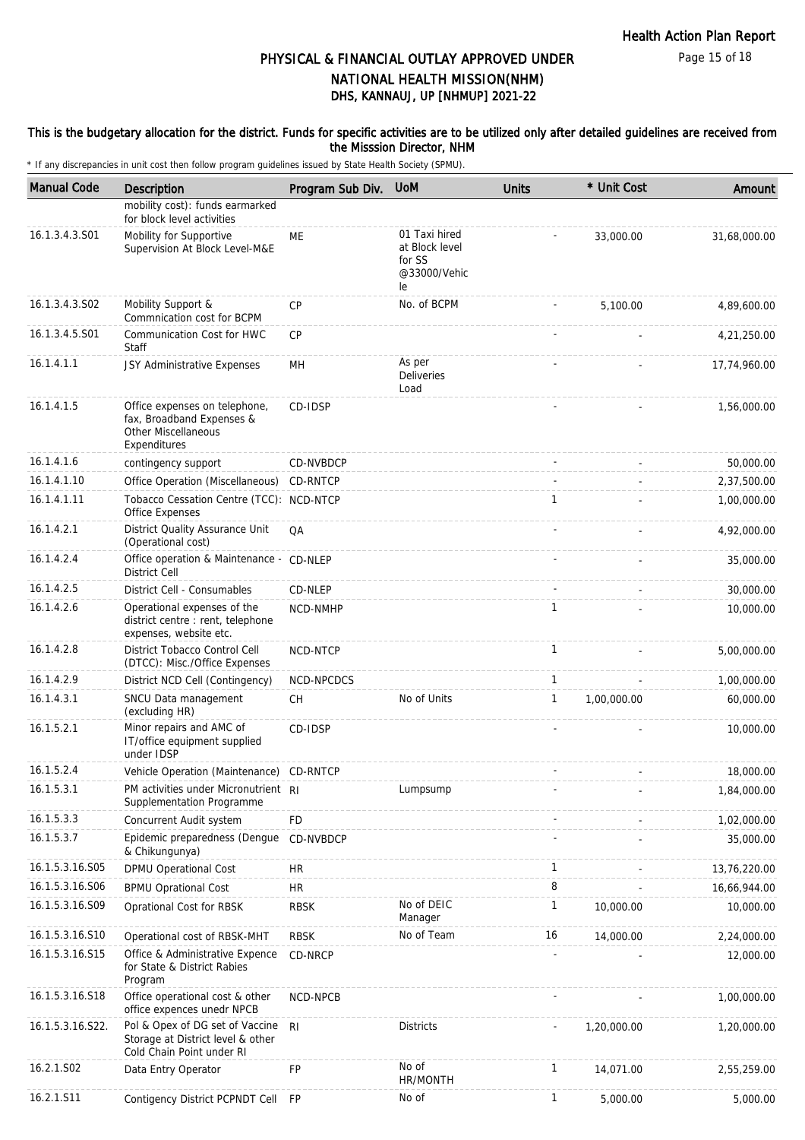### This is the budgetary allocation for the district. Funds for specific activities are to be utilized only after detailed guidelines are received from the Misssion Director, NHM

| <b>Manual Code</b> | <b>Description</b>                                                                                       | Program Sub Div. | <b>UoM</b>                                                      | <b>Units</b> | * Unit Cost | Amount       |
|--------------------|----------------------------------------------------------------------------------------------------------|------------------|-----------------------------------------------------------------|--------------|-------------|--------------|
|                    | mobility cost): funds earmarked<br>for block level activities                                            |                  |                                                                 |              |             |              |
| 16.1.3.4.3.S01     | Mobility for Supportive<br>Supervision At Block Level-M&E                                                | <b>ME</b>        | 01 Taxi hired<br>at Block level<br>for SS<br>@33000/Vehic<br>le |              | 33,000.00   | 31,68,000.00 |
| 16.1.3.4.3.S02     | Mobility Support &<br>Commnication cost for BCPM                                                         | <b>CP</b>        | No. of BCPM                                                     |              | 5,100.00    | 4,89,600.00  |
| 16.1.3.4.5.S01     | Communication Cost for HWC<br>Staff                                                                      | <b>CP</b>        |                                                                 |              |             | 4,21,250.00  |
| 16.1.4.1.1         | JSY Administrative Expenses                                                                              | MH               | As per<br>Deliveries<br>Load                                    |              |             | 17,74,960.00 |
| 16.1.4.1.5         | Office expenses on telephone,<br>fax, Broadband Expenses &<br><b>Other Miscellaneous</b><br>Expenditures | CD-IDSP          |                                                                 |              |             | 1,56,000.00  |
| 16.1.4.1.6         | contingency support                                                                                      | CD-NVBDCP        |                                                                 |              |             | 50,000.00    |
| 16.1.4.1.10        | Office Operation (Miscellaneous)                                                                         | CD-RNTCP         |                                                                 |              |             | 2,37,500.00  |
| 16.1.4.1.11        | Tobacco Cessation Centre (TCC): NCD-NTCP<br><b>Office Expenses</b>                                       |                  |                                                                 | 1            |             | 1,00,000.00  |
| 16.1.4.2.1         | District Quality Assurance Unit<br>(Operational cost)                                                    | QA               |                                                                 |              |             | 4,92,000.00  |
| 16.1.4.2.4         | Office operation & Maintenance - CD-NLEP<br><b>District Cell</b>                                         |                  |                                                                 |              |             | 35,000.00    |
| 16.1.4.2.5         | District Cell - Consumables                                                                              | CD-NLEP          |                                                                 |              |             | 30,000.00    |
| 16.1.4.2.6         | Operational expenses of the<br>district centre: rent, telephone<br>expenses, website etc.                | NCD-NMHP         |                                                                 | $\mathbf{1}$ |             | 10,000.00    |
| 16.1.4.2.8         | District Tobacco Control Cell<br>(DTCC): Misc./Office Expenses                                           | NCD-NTCP         |                                                                 | $\mathbf{1}$ |             | 5,00,000.00  |
| 16.1.4.2.9         | District NCD Cell (Contingency)                                                                          | NCD-NPCDCS       |                                                                 | $\mathbf{1}$ |             | 1,00,000.00  |
| 16.1.4.3.1         | SNCU Data management<br>(excluding HR)                                                                   | <b>CH</b>        | No of Units                                                     | $\mathbf{1}$ | 1.00.000.00 | 60,000.00    |
| 16.1.5.2.1         | Minor repairs and AMC of<br>IT/office equipment supplied<br>under IDSP                                   | CD-IDSP          |                                                                 |              |             | 10,000.00    |
| 16.1.5.2.4         | Vehicle Operation (Maintenance) CD-RNTCP                                                                 |                  |                                                                 |              |             | 18,000.00    |
| 16.1.5.3.1         | PM activities under Micronutrient RI<br>Supplementation Programme                                        |                  | Lumpsump                                                        |              |             | 1,84,000.00  |
| 16.1.5.3.3         | Concurrent Audit system                                                                                  | <b>FD</b>        |                                                                 |              |             | 1,02,000.00  |
| 16.1.5.3.7         | Epidemic preparedness (Dengue<br>& Chikungunya)                                                          | CD-NVBDCP        |                                                                 |              |             | 35,000.00    |
| 16.1.5.3.16.S05    | DPMU Operational Cost                                                                                    | <b>HR</b>        |                                                                 | $\mathbf{1}$ |             | 13,76,220.00 |
| 16.1.5.3.16.S06    | <b>BPMU Oprational Cost</b>                                                                              | <b>HR</b>        |                                                                 | 8            |             | 16,66,944.00 |
| 16.1.5.3.16.S09    | Oprational Cost for RBSK                                                                                 | <b>RBSK</b>      | No of DEIC<br>Manager                                           | $\mathbf{1}$ | 10,000.00   | 10,000.00    |
| 16.1.5.3.16.S10    | Operational cost of RBSK-MHT                                                                             | <b>RBSK</b>      | No of Team                                                      | 16           | 14,000.00   | 2,24,000.00  |
| 16.1.5.3.16.S15    | Office & Administrative Expence<br>for State & District Rabies<br>Program                                | CD-NRCP          |                                                                 |              |             | 12,000.00    |
| 16.1.5.3.16.S18    | Office operational cost & other<br>office expences unedr NPCB                                            | NCD-NPCB         |                                                                 |              |             | 1,00,000.00  |
| 16.1.5.3.16.S22.   | Pol & Opex of DG set of Vaccine<br>Storage at District level & other<br>Cold Chain Point under RI        | RI               | <b>Districts</b>                                                |              | 1,20,000.00 | 1,20,000.00  |
| 16.2.1.S02         | Data Entry Operator                                                                                      | FP               | No of<br>HR/MONTH                                               | $\mathbf{1}$ | 14,071.00   | 2,55,259.00  |
| 16.2.1.S11         | Contigency District PCPNDT Cell FP                                                                       |                  | No of                                                           | $\mathbf{1}$ | 5,000.00    | 5,000.00     |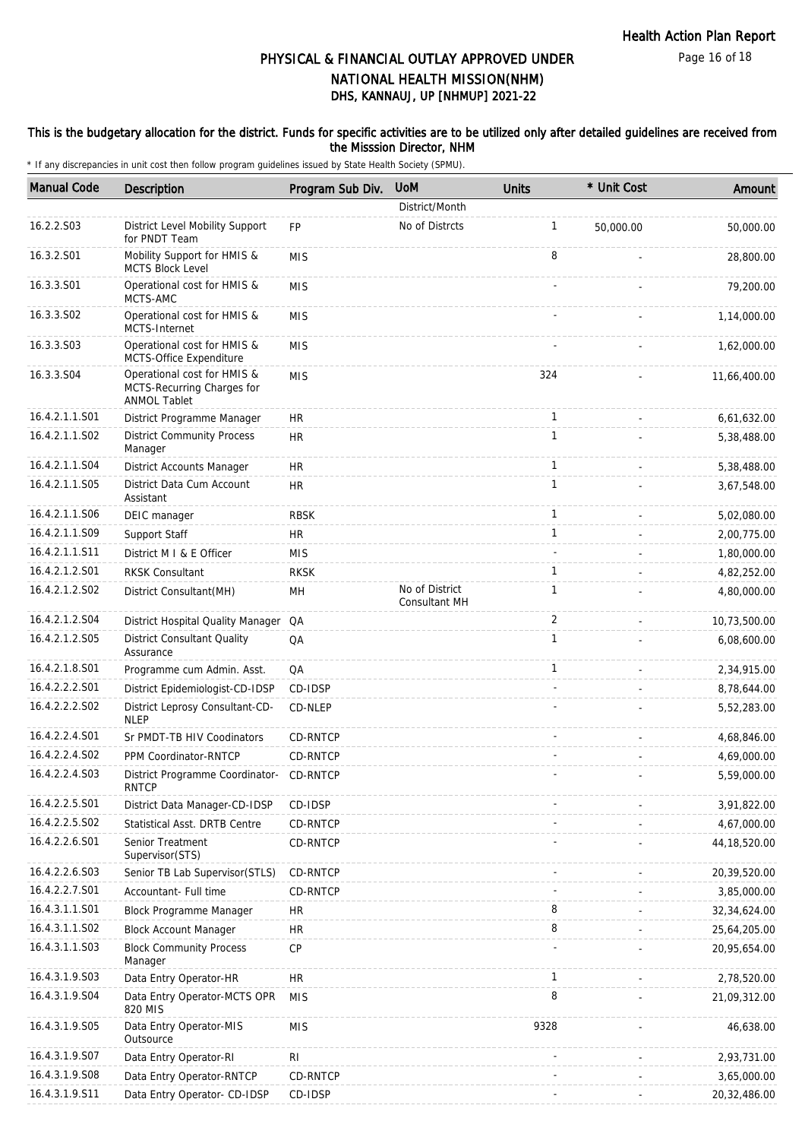### This is the budgetary allocation for the district. Funds for specific activities are to be utilized only after detailed guidelines are received from the Misssion Director, NHM

| <b>Manual Code</b> | Description                                                                      | Program Sub Div. | <b>UoM</b>                      | Units        | * Unit Cost | Amount         |
|--------------------|----------------------------------------------------------------------------------|------------------|---------------------------------|--------------|-------------|----------------|
|                    |                                                                                  |                  | District/Month                  |              |             |                |
| 16.2.2.S03         | District Level Mobility Support<br>for PNDT Team                                 | FP               | No of Distrcts                  | $\mathbf{1}$ | 50,000.00   | 50,000.00      |
| 16.3.2.S01         | Mobility Support for HMIS &<br>MCTS Block Level                                  | <b>MIS</b>       |                                 | 8            |             | 28,800.00      |
| 16.3.3.S01         | Operational cost for HMIS &<br>MCTS-AMC                                          | <b>MIS</b>       |                                 |              |             | 79,200.00      |
| 16.3.3.S02         | Operational cost for HMIS &<br>MCTS-Internet                                     | <b>MIS</b>       |                                 |              |             | 1,14,000.00    |
| 16.3.3.S03         | Operational cost for HMIS &<br>MCTS-Office Expenditure                           | <b>MIS</b>       |                                 |              |             | 1,62,000.00    |
| 16.3.3.S04         | Operational cost for HMIS &<br>MCTS-Recurring Charges for<br><b>ANMOL Tablet</b> | <b>MIS</b>       |                                 | 324          |             | 11,66,400.00   |
| 16.4.2.1.1.S01     | District Programme Manager                                                       | <b>HR</b>        |                                 | $\mathbf{1}$ |             | 6,61,632.00    |
| 16.4.2.1.1.S02     | <b>District Community Process</b><br>Manager                                     | <b>HR</b>        |                                 | $\mathbf{1}$ |             | 5,38,488.00    |
| 16.4.2.1.1.S04     | District Accounts Manager                                                        | <b>HR</b>        |                                 | $\mathbf{1}$ |             | 5,38,488.00    |
| 16.4.2.1.1.S05     | District Data Cum Account<br>Assistant                                           | <b>HR</b>        |                                 | $\mathbf{1}$ |             | 3,67,548.00    |
| 16.4.2.1.1.S06     | DEIC manager                                                                     | <b>RBSK</b>      |                                 | $\mathbf{1}$ |             | 5,02,080.00    |
| 16.4.2.1.1.S09     | Support Staff                                                                    | <b>HR</b>        |                                 | $\mathbf{1}$ |             | 2,00,775.00    |
| 16.4.2.1.1.S11     | District M I & E Officer                                                         | <b>MIS</b>       |                                 |              |             | 1,80,000.00    |
| 16.4.2.1.2.S01     | <b>RKSK Consultant</b>                                                           | <b>RKSK</b>      |                                 | $\mathbf{1}$ |             | 4,82,252.00    |
| 16.4.2.1.2.S02     | District Consultant (MH)                                                         | MН               | No of District<br>Consultant MH | $\mathbf{1}$ |             | 4,80,000.00    |
| 16.4.2.1.2.S04     | District Hospital Quality Manager                                                | QA               |                                 | 2            |             | 10,73,500.00   |
| 16.4.2.1.2.S05     | <b>District Consultant Quality</b><br>Assurance                                  | QA               |                                 | $\mathbf{1}$ |             | 6,08,600.00    |
| 16.4.2.1.8.S01     | Programme cum Admin. Asst.                                                       | QA               |                                 | $\mathbf{1}$ |             | 2,34,915.00    |
| 16.4.2.2.2.S01     | District Epidemiologist-CD-IDSP                                                  | CD-IDSP          |                                 |              |             | 8,78,644.00    |
| 16.4.2.2.2.S02     | District Leprosy Consultant-CD-<br><b>NLEP</b>                                   | CD-NLEP          |                                 |              |             | 5,52,283.00    |
| 16.4.2.2.4.S01     | Sr PMDT-TB HIV Coodinators                                                       | CD-RNTCP         |                                 |              |             | 4,68,846.00    |
| 16.4.2.2.4.S02     | PPM Coordinator-RNTCP                                                            | CD-RNTCP         |                                 |              |             | 4,69,000.00    |
| 16.4.2.2.4.S03     | District Programme Coordinator-<br><b>RNTCP</b>                                  | CD-RNTCP         |                                 |              |             | 5,59,000.00    |
| 16.4.2.2.5.S01     | District Data Manager-CD-IDSP                                                    | CD-IDSP          |                                 |              |             | 3,91,822.00    |
| 16.4.2.2.5.S02     | Statistical Asst. DRTB Centre                                                    | CD-RNTCP         |                                 |              |             | 4,67,000.00    |
| 16.4.2.2.6.S01     | Senior Treatment<br>Supervisor(STS)                                              | CD-RNTCP         |                                 |              |             | 44, 18, 520.00 |
| 16.4.2.2.6.S03     | Senior TB Lab Supervisor(STLS)                                                   | CD-RNTCP         |                                 |              |             | 20,39,520.00   |
| 16.4.2.2.7.S01     | Accountant- Full time                                                            | CD-RNTCP         |                                 |              |             | 3,85,000.00    |
| 16.4.3.1.1.S01     | Block Programme Manager                                                          | HR               |                                 | 8            |             | 32, 34, 624.00 |
| 16.4.3.1.1.S02     | <b>Block Account Manager</b>                                                     | HR               |                                 | 8            |             | 25,64,205.00   |
| 16.4.3.1.1.S03     | <b>Block Community Process</b><br>Manager                                        | <b>CP</b>        |                                 |              |             | 20,95,654.00   |
| 16.4.3.1.9.S03     | Data Entry Operator-HR                                                           | <b>HR</b>        |                                 | $\mathbf{1}$ |             | 2,78,520.00    |
| 16.4.3.1.9.S04     | Data Entry Operator-MCTS OPR<br>820 MIS                                          | <b>MIS</b>       |                                 | 8            |             | 21,09,312.00   |
| 16.4.3.1.9.S05     | Data Entry Operator-MIS<br>Outsource                                             | <b>MIS</b>       |                                 | 9328         |             | 46,638.00      |
| 16.4.3.1.9.S07     | Data Entry Operator-RI                                                           | RI               |                                 |              |             | 2,93,731.00    |
| 16.4.3.1.9.S08     | Data Entry Operator-RNTCP                                                        | CD-RNTCP         |                                 |              |             | 3,65,000.00    |
| 16.4.3.1.9.S11     | Data Entry Operator- CD-IDSP                                                     | CD-IDSP          |                                 |              |             | 20,32,486.00   |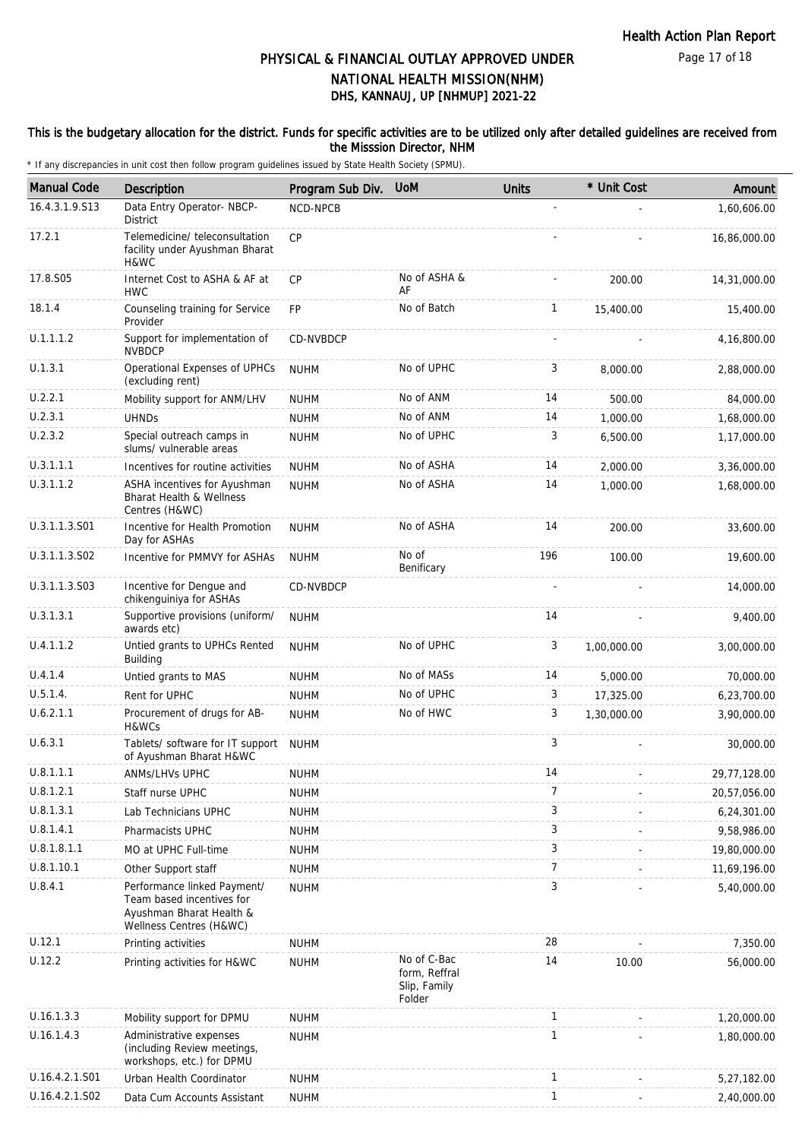Page 17 of 18

# DHS, KANNAUJ, UP [NHMUP] 2021-22 PHYSICAL & FINANCIAL OUTLAY APPROVED UNDER NATIONAL HEALTH MISSION(NHM)

### This is the budgetary allocation for the district. Funds for specific activities are to be utilized only after detailed guidelines are received from the Misssion Director, NHM

| <b>Manual Code</b> | Description                                                                                                     | Program Sub Div. | <b>UoM</b>                                             | <b>Units</b>   | * Unit Cost | Amount       |
|--------------------|-----------------------------------------------------------------------------------------------------------------|------------------|--------------------------------------------------------|----------------|-------------|--------------|
| 16.4.3.1.9.S13     | Data Entry Operator- NBCP-<br><b>District</b>                                                                   | NCD-NPCB         |                                                        | ÷,             |             | 1,60,606.00  |
| 17.2.1             | Telemedicine/ teleconsultation<br>facility under Ayushman Bharat<br>H&WC                                        | <b>CP</b>        |                                                        |                |             | 16,86,000.00 |
| 17.8.S05           | Internet Cost to ASHA & AF at<br><b>HWC</b>                                                                     | <b>CP</b>        | No of ASHA &<br>AF                                     |                | 200.00      | 14,31,000.00 |
| 18.1.4             | Counseling training for Service<br>Provider                                                                     | <b>FP</b>        | No of Batch                                            | $\mathbf{1}$   | 15,400.00   | 15,400.00    |
| U.1.1.1.2          | Support for implementation of<br><b>NVBDCP</b>                                                                  | CD-NVBDCP        |                                                        | $\sim$         |             | 4,16,800.00  |
| U.1.3.1            | Operational Expenses of UPHCs<br>(excluding rent)                                                               | <b>NUHM</b>      | No of UPHC                                             | 3              | 8,000.00    | 2,88,000.00  |
| U.2.2.1            | Mobility support for ANM/LHV                                                                                    | <b>NUHM</b>      | No of ANM                                              | 14             | 500.00      | 84,000.00    |
| U.2.3.1            | <b>UHNDs</b>                                                                                                    | <b>NUHM</b>      | No of ANM                                              | 14             | 1,000.00    | 1,68,000.00  |
| U.2.3.2            | Special outreach camps in<br>slums/ vulnerable areas                                                            | <b>NUHM</b>      | No of UPHC                                             | 3              | 6,500.00    | 1,17,000.00  |
| U.3.1.1.1          | Incentives for routine activities                                                                               | <b>NUHM</b>      | No of ASHA                                             | 14             | 2,000.00    | 3,36,000.00  |
| U.3.1.1.2          | ASHA incentives for Ayushman<br><b>Bharat Health &amp; Wellness</b><br>Centres (H&WC)                           | <b>NUHM</b>      | No of ASHA                                             | 14             | 1,000.00    | 1,68,000.00  |
| U.3.1.1.3.S01      | Incentive for Health Promotion<br>Day for ASHAs                                                                 | <b>NUHM</b>      | No of ASHA                                             | 14             | 200.00      | 33,600.00    |
| U.3.1.1.3.S02      | Incentive for PMMVY for ASHAs                                                                                   | <b>NUHM</b>      | No of<br>Benificary                                    | 196            | 100.00      | 19,600.00    |
| U.3.1.1.3.S03      | Incentive for Dengue and<br>chikenguiniya for ASHAs                                                             | CD-NVBDCP        |                                                        |                |             | 14,000.00    |
| U.3.1.3.1          | Supportive provisions (uniform/<br>awards etc)                                                                  | <b>NUHM</b>      |                                                        | 14             |             | 9,400.00     |
| U.4.1.1.2          | Untied grants to UPHCs Rented<br>Building                                                                       | <b>NUHM</b>      | No of UPHC                                             | 3              | 1,00,000.00 | 3,00,000.00  |
| U.4.1.4            | Untied grants to MAS                                                                                            | <b>NUHM</b>      | No of MASs                                             | 14             | 5,000.00    | 70,000.00    |
| U.5.1.4.           | Rent for UPHC                                                                                                   | <b>NUHM</b>      | No of UPHC                                             | 3              | 17,325.00   | 6,23,700.00  |
| U.6.2.1.1          | Procurement of drugs for AB-<br>H&WCs                                                                           | <b>NUHM</b>      | No of HWC                                              | 3              | 1,30,000.00 | 3,90,000.00  |
| U.6.3.1            | Tablets/ software for IT support<br>of Ayushman Bharat H&WC                                                     | <b>NUHM</b>      |                                                        | 3              |             | 30,000.00    |
| U.8.1.1.1          | ANMs/LHVs UPHC                                                                                                  | <b>NUHM</b>      |                                                        | 14             |             | 29,77,128.00 |
| U.8.1.2.1          | Staff nurse UPHC                                                                                                | <b>NUHM</b>      |                                                        | 7              |             | 20,57,056.00 |
| U.8.1.3.1          | Lab Technicians UPHC                                                                                            | <b>NUHM</b>      |                                                        | 3              |             | 6,24,301.00  |
| U.8.1.4.1          | Pharmacists UPHC                                                                                                | <b>NUHM</b>      |                                                        | 3              |             | 9,58,986.00  |
| U.8.1.8.1.1        | MO at UPHC Full-time                                                                                            | <b>NUHM</b>      |                                                        | 3              |             | 19,80,000.00 |
| U.8.1.10.1         | Other Support staff                                                                                             | <b>NUHM</b>      |                                                        | $\overline{7}$ |             | 11,69,196.00 |
| U.8.4.1            | Performance linked Payment/<br>Team based incentives for<br>Ayushman Bharat Health &<br>Wellness Centres (H&WC) | <b>NUHM</b>      |                                                        | 3              |             | 5,40,000.00  |
| U.12.1             | Printing activities                                                                                             | <b>NUHM</b>      |                                                        | 28             |             | 7,350.00     |
| U.12.2             | Printing activities for H&WC                                                                                    | <b>NUHM</b>      | No of C-Bac<br>form, Reffral<br>Slip, Family<br>Folder | 14             | 10.00       | 56,000.00    |
| U.16.1.3.3         | Mobility support for DPMU                                                                                       | <b>NUHM</b>      |                                                        | $\mathbf{1}$   |             | 1,20,000.00  |
| U.16.1.4.3         | Administrative expenses<br>(including Review meetings,<br>workshops, etc.) for DPMU                             | <b>NUHM</b>      |                                                        | $\mathbf{1}$   |             | 1,80,000.00  |
| U.16.4.2.1.S01     | Urban Health Coordinator                                                                                        | <b>NUHM</b>      |                                                        | $\mathbf{1}$   |             | 5,27,182.00  |
| U.16.4.2.1.S02     | Data Cum Accounts Assistant                                                                                     | <b>NUHM</b>      |                                                        | $\mathbf{1}$   |             | 2,40,000.00  |